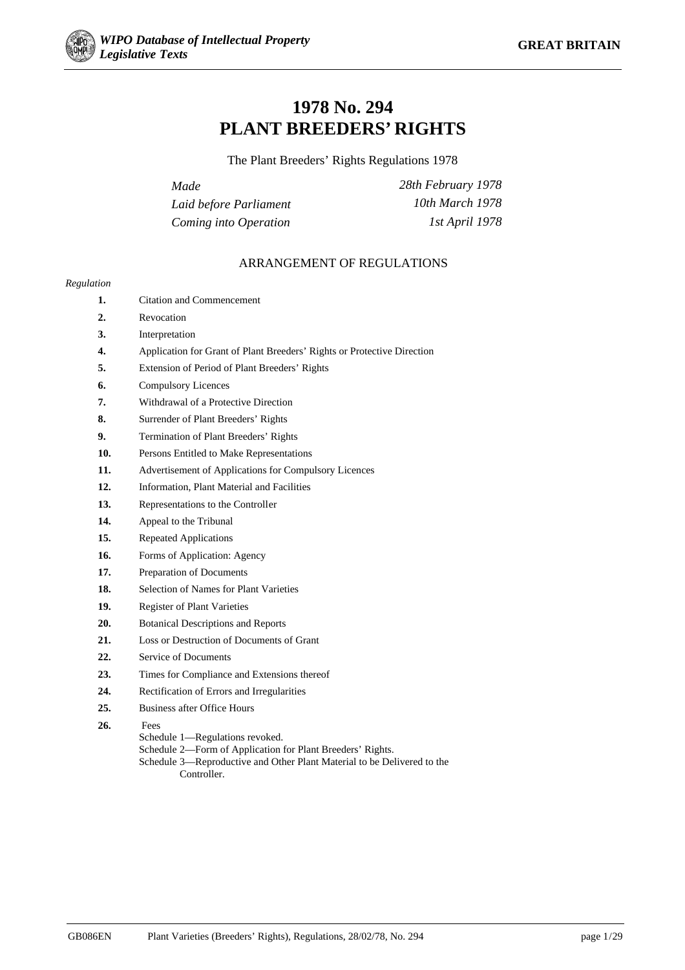

# **1978 No. 294 PLANT BREEDERS' RIGHTS**

The Plant Breeders' Rights Regulations 1978

| Made                   | 28th February 1978 |
|------------------------|--------------------|
| Laid before Parliament | 10th March 1978    |
| Coming into Operation  | 1st April 1978     |

## ARRANGEMENT OF REGULATIONS

#### *Regulation*

- **1.** Citation and Commencement
- **2.** Revocation
- **3.** Interpretation
- **4.** Application for Grant of Plant Breeders' Rights or Protective Direction
- **5.** Extension of Period of Plant Breeders' Rights
- **6.** Compulsory Licences
- **7.** Withdrawal of a Protective Direction
- **8.** Surrender of Plant Breeders' Rights
- **9.** Termination of Plant Breeders' Rights
- **10.** Persons Entitled to Make Representations
- **11.** Advertisement of Applications for Compulsory Licences
- **12.** Information, Plant Material and Facilities
- **13.** Representations to the Controller
- **14.** Appeal to the Tribunal
- **15.** Repeated Applications
- **16.** Forms of Application: Agency
- **17.** Preparation of Documents
- **18.** Selection of Names for Plant Varieties
- **19.** Register of Plant Varieties
- **20.** Botanical Descriptions and Reports
- **21.** Loss or Destruction of Documents of Grant
- **22.** Service of Documents
- **23.** Times for Compliance and Extensions thereof
- **24.** Rectification of Errors and Irregularities
- **25.** Business after Office Hours
- **26.** Fees
	- Schedule 1—Regulations revoked.
	- Schedule 2—Form of Application for Plant Breeders' Rights.
	- Schedule 3—Reproductive and Other Plant Material to be Delivered to the Controller.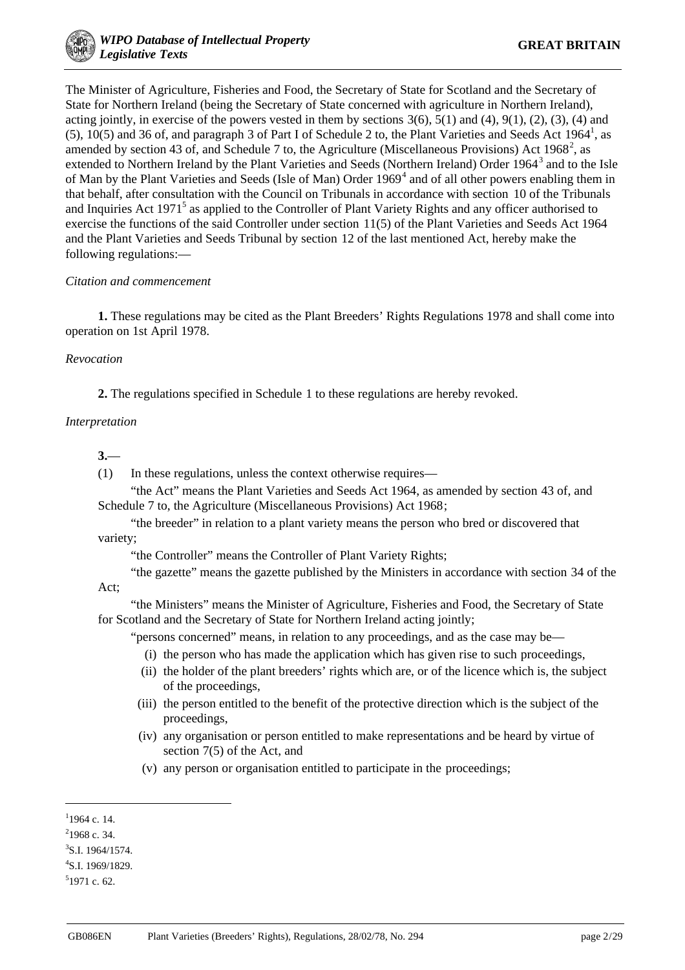The Minister of Agriculture, Fisheries and Food, the Secretary of State for Scotland and the Secretary of State for Northern Ireland (being the Secretary of State concerned with agriculture in Northern Ireland), acting jointly, in exercise of the powers vested in them by sections  $3(6)$ ,  $5(1)$  and  $(4)$ ,  $9(1)$ ,  $(2)$ ,  $(3)$ ,  $(4)$  and (5),  $10(5)$  and 36 of, and paragraph 3 of Part I of Schedule 2 to, the Plant Varieties and Seeds Act 1964<sup>1</sup>, as amended by section 43 of, and Schedule 7 to, the Agriculture (Miscellaneous Provisions) Act 1968<sup>2</sup>, as extended to Northern Ireland by the Plant Varieties and Seeds (Northern Ireland) Order 1964<sup>3</sup> and to the Isle of Man by the Plant Varieties and Seeds (Isle of Man) Order 1969<sup>4</sup> and of all other powers enabling them in that behalf, after consultation with the Council on Tribunals in accordance with section 10 of the Tribunals and Inquiries Act 1971<sup>5</sup> as applied to the Controller of Plant Variety Rights and any officer authorised to exercise the functions of the said Controller under section 11(5) of the Plant Varieties and Seeds Act 1964 and the Plant Varieties and Seeds Tribunal by section 12 of the last mentioned Act, hereby make the following regulations:—

## *Citation and commencement*

**1.** These regulations may be cited as the Plant Breeders' Rights Regulations 1978 and shall come into operation on 1st April 1978.

## *Revocation*

**2.** The regulations specified in Schedule 1 to these regulations are hereby revoked.

## *Interpretation*

**3.**—

(1) In these regulations, unless the context otherwise requires—

"the Act" means the Plant Varieties and Seeds Act 1964, as amended by section 43 of, and Schedule 7 to, the Agriculture (Miscellaneous Provisions) Act 1968;

"the breeder" in relation to a plant variety means the person who bred or discovered that variety;

"the Controller" means the Controller of Plant Variety Rights;

"the gazette" means the gazette published by the Ministers in accordance with section 34 of the Act;

"the Ministers" means the Minister of Agriculture, Fisheries and Food, the Secretary of State for Scotland and the Secretary of State for Northern Ireland acting jointly;

"persons concerned" means, in relation to any proceedings, and as the case may be—

- (i) the person who has made the application which has given rise to such proceedings,
- (ii) the holder of the plant breeders' rights which are, or of the licence which is, the subject of the proceedings,
- (iii) the person entitled to the benefit of the protective direction which is the subject of the proceedings,
- (iv) any organisation or person entitled to make representations and be heard by virtue of section 7(5) of the Act, and
- (v) any person or organisation entitled to participate in the proceedings;

**.** 

 $1$ 1964 c. 14.

 $2$ 1968 c. 34.

 ${}^{3}$ S.I. 1964/1574.

<sup>4</sup> S.I. 1969/1829.

<sup>5</sup> 1971 c. 62.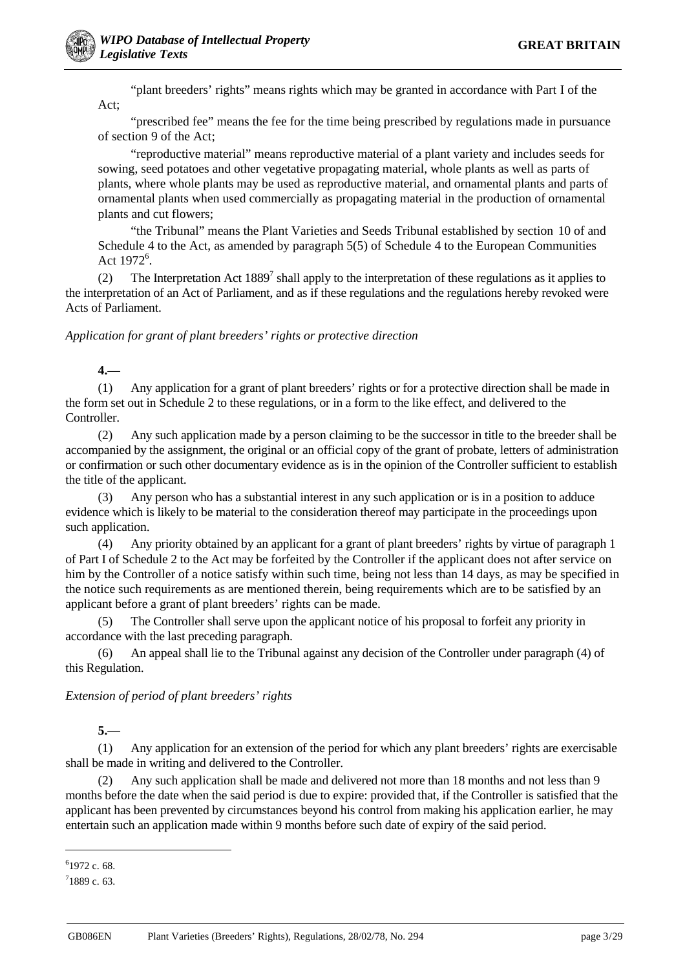"plant breeders' rights" means rights which may be granted in accordance with Part I of the Act;

"prescribed fee" means the fee for the time being prescribed by regulations made in pursuance of section 9 of the Act;

"reproductive material" means reproductive material of a plant variety and includes seeds for sowing, seed potatoes and other vegetative propagating material, whole plants as well as parts of plants, where whole plants may be used as reproductive material, and ornamental plants and parts of ornamental plants when used commercially as propagating material in the production of ornamental plants and cut flowers;

"the Tribunal" means the Plant Varieties and Seeds Tribunal established by section 10 of and Schedule 4 to the Act, as amended by paragraph 5(5) of Schedule 4 to the European Communities Act  $1972^6$ .

(2) The Interpretation Act  $1889^7$  shall apply to the interpretation of these regulations as it applies to the interpretation of an Act of Parliament, and as if these regulations and the regulations hereby revoked were Acts of Parliament.

#### *Application for grant of plant breeders' rights or protective direction*

## **4.**—

(1) Any application for a grant of plant breeders' rights or for a protective direction shall be made in the form set out in Schedule 2 to these regulations, or in a form to the like effect, and delivered to the Controller.

(2) Any such application made by a person claiming to be the successor in title to the breeder shall be accompanied by the assignment, the original or an official copy of the grant of probate, letters of administration or confirmation or such other documentary evidence as is in the opinion of the Controller sufficient to establish the title of the applicant.

(3) Any person who has a substantial interest in any such application or is in a position to adduce evidence which is likely to be material to the consideration thereof may participate in the proceedings upon such application.

(4) Any priority obtained by an applicant for a grant of plant breeders' rights by virtue of paragraph 1 of Part I of Schedule 2 to the Act may be forfeited by the Controller if the applicant does not after service on him by the Controller of a notice satisfy within such time, being not less than 14 days, as may be specified in the notice such requirements as are mentioned therein, being requirements which are to be satisfied by an applicant before a grant of plant breeders' rights can be made.

(5) The Controller shall serve upon the applicant notice of his proposal to forfeit any priority in accordance with the last preceding paragraph.

(6) An appeal shall lie to the Tribunal against any decision of the Controller under paragraph (4) of this Regulation.

#### *Extension of period of plant breeders' rights*

**5.**—

(1) Any application for an extension of the period for which any plant breeders' rights are exercisable shall be made in writing and delivered to the Controller.

(2) Any such application shall be made and delivered not more than 18 months and not less than 9 months before the date when the said period is due to expire: provided that, if the Controller is satisfied that the applicant has been prevented by circumstances beyond his control from making his application earlier, he may entertain such an application made within 9 months before such date of expiry of the said period.

-

<sup>6</sup> 1972 c. 68.

 $71889$  c. 63.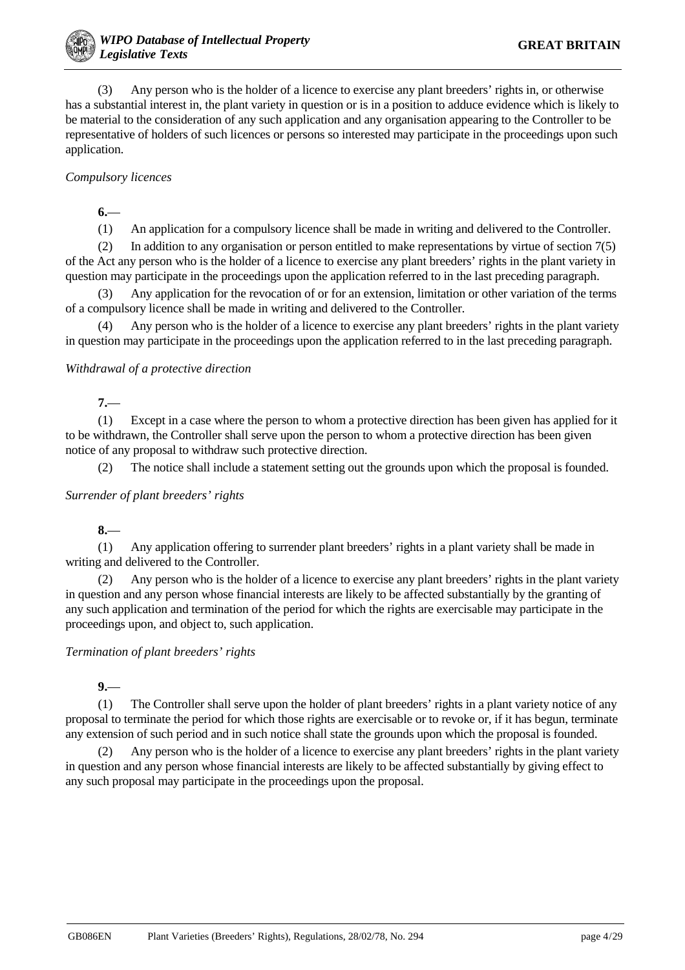(3) Any person who is the holder of a licence to exercise any plant breeders' rights in, or otherwise has a substantial interest in, the plant variety in question or is in a position to adduce evidence which is likely to be material to the consideration of any such application and any organisation appearing to the Controller to be representative of holders of such licences or persons so interested may participate in the proceedings upon such application.

## *Compulsory licences*

**6.**—

(1) An application for a compulsory licence shall be made in writing and delivered to the Controller.

(2) In addition to any organisation or person entitled to make representations by virtue of section 7(5) of the Act any person who is the holder of a licence to exercise any plant breeders' rights in the plant variety in question may participate in the proceedings upon the application referred to in the last preceding paragraph.

(3) Any application for the revocation of or for an extension, limitation or other variation of the terms of a compulsory licence shall be made in writing and delivered to the Controller.

(4) Any person who is the holder of a licence to exercise any plant breeders' rights in the plant variety in question may participate in the proceedings upon the application referred to in the last preceding paragraph.

#### *Withdrawal of a protective direction*

**7.**—

(1) Except in a case where the person to whom a protective direction has been given has applied for it to be withdrawn, the Controller shall serve upon the person to whom a protective direction has been given notice of any proposal to withdraw such protective direction.

(2) The notice shall include a statement setting out the grounds upon which the proposal is founded.

#### *Surrender of plant breeders' rights*

**8.**—

(1) Any application offering to surrender plant breeders' rights in a plant variety shall be made in writing and delivered to the Controller.

(2) Any person who is the holder of a licence to exercise any plant breeders' rights in the plant variety in question and any person whose financial interests are likely to be affected substantially by the granting of any such application and termination of the period for which the rights are exercisable may participate in the proceedings upon, and object to, such application.

#### *Termination of plant breeders' rights*

## **9.**—

(1) The Controller shall serve upon the holder of plant breeders' rights in a plant variety notice of any proposal to terminate the period for which those rights are exercisable or to revoke or, if it has begun, terminate any extension of such period and in such notice shall state the grounds upon which the proposal is founded.

(2) Any person who is the holder of a licence to exercise any plant breeders' rights in the plant variety in question and any person whose financial interests are likely to be affected substantially by giving effect to any such proposal may participate in the proceedings upon the proposal.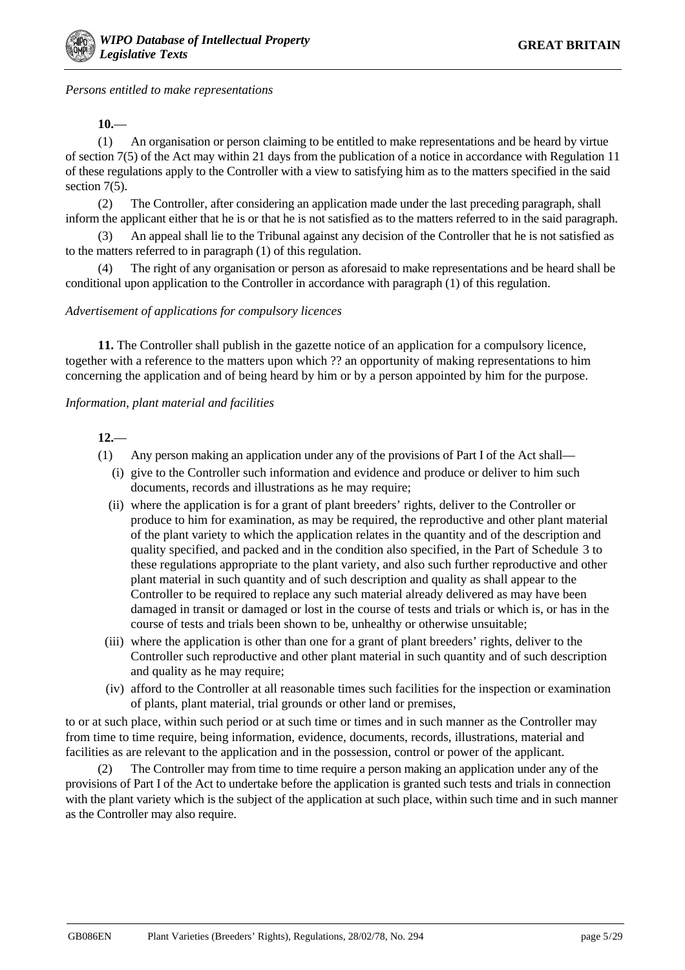*Persons entitled to make representations*

**10.**—

(1) An organisation or person claiming to be entitled to make representations and be heard by virtue of section 7(5) of the Act may within 21 days from the publication of a notice in accordance with Regulation 11 of these regulations apply to the Controller with a view to satisfying him as to the matters specified in the said section 7(5).

(2) The Controller, after considering an application made under the last preceding paragraph, shall inform the applicant either that he is or that he is not satisfied as to the matters referred to in the said paragraph.

(3) An appeal shall lie to the Tribunal against any decision of the Controller that he is not satisfied as to the matters referred to in paragraph (1) of this regulation.

(4) The right of any organisation or person as aforesaid to make representations and be heard shall be conditional upon application to the Controller in accordance with paragraph (1) of this regulation.

#### *Advertisement of applications for compulsory licences*

**11.** The Controller shall publish in the gazette notice of an application for a compulsory licence, together with a reference to the matters upon which ?? an opportunity of making representations to him concerning the application and of being heard by him or by a person appointed by him for the purpose.

#### *Information, plant material and facilities*

**12.**—

- (1) Any person making an application under any of the provisions of Part I of the Act shall—
	- (i) give to the Controller such information and evidence and produce or deliver to him such documents, records and illustrations as he may require;
	- (ii) where the application is for a grant of plant breeders' rights, deliver to the Controller or produce to him for examination, as may be required, the reproductive and other plant material of the plant variety to which the application relates in the quantity and of the description and quality specified, and packed and in the condition also specified, in the Part of Schedule 3 to these regulations appropriate to the plant variety, and also such further reproductive and other plant material in such quantity and of such description and quality as shall appear to the Controller to be required to replace any such material already delivered as may have been damaged in transit or damaged or lost in the course of tests and trials or which is, or has in the course of tests and trials been shown to be, unhealthy or otherwise unsuitable;
	- (iii) where the application is other than one for a grant of plant breeders' rights, deliver to the Controller such reproductive and other plant material in such quantity and of such description and quality as he may require;
	- (iv) afford to the Controller at all reasonable times such facilities for the inspection or examination of plants, plant material, trial grounds or other land or premises,

to or at such place, within such period or at such time or times and in such manner as the Controller may from time to time require, being information, evidence, documents, records, illustrations, material and facilities as are relevant to the application and in the possession, control or power of the applicant.

The Controller may from time to time require a person making an application under any of the provisions of Part I of the Act to undertake before the application is granted such tests and trials in connection with the plant variety which is the subject of the application at such place, within such time and in such manner as the Controller may also require.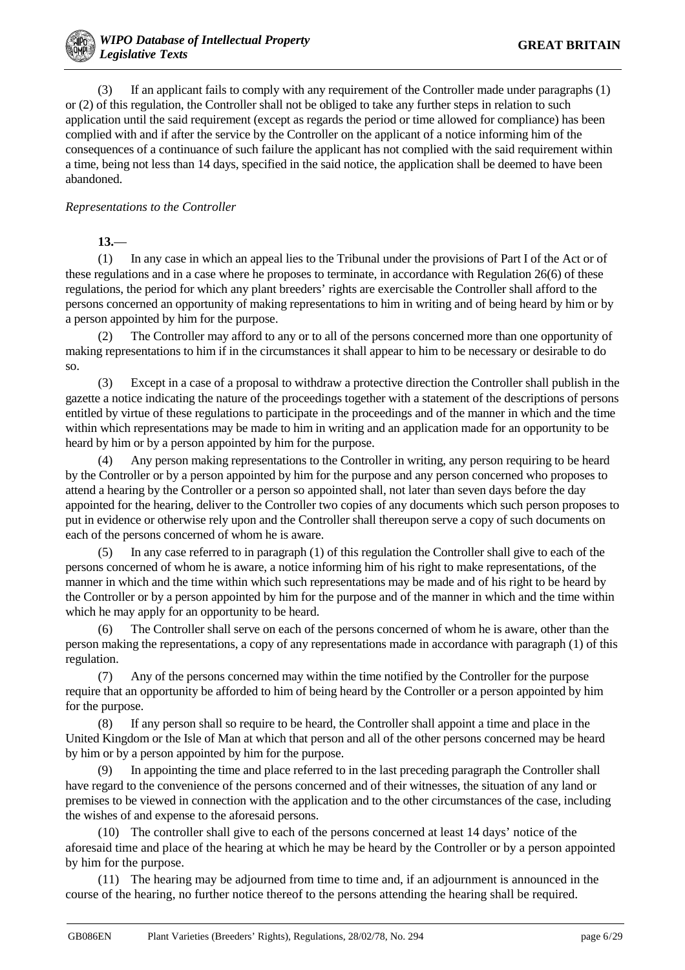(3) If an applicant fails to comply with any requirement of the Controller made under paragraphs (1) or (2) of this regulation, the Controller shall not be obliged to take any further steps in relation to such application until the said requirement (except as regards the period or time allowed for compliance) has been complied with and if after the service by the Controller on the applicant of a notice informing him of the consequences of a continuance of such failure the applicant has not complied with the said requirement within a time, being not less than 14 days, specified in the said notice, the application shall be deemed to have been abandoned.

## *Representations to the Controller*

**13.**—

(1) In any case in which an appeal lies to the Tribunal under the provisions of Part I of the Act or of these regulations and in a case where he proposes to terminate, in accordance with Regulation 26(6) of these regulations, the period for which any plant breeders' rights are exercisable the Controller shall afford to the persons concerned an opportunity of making representations to him in writing and of being heard by him or by a person appointed by him for the purpose.

(2) The Controller may afford to any or to all of the persons concerned more than one opportunity of making representations to him if in the circumstances it shall appear to him to be necessary or desirable to do so.

(3) Except in a case of a proposal to withdraw a protective direction the Controller shall publish in the gazette a notice indicating the nature of the proceedings together with a statement of the descriptions of persons entitled by virtue of these regulations to participate in the proceedings and of the manner in which and the time within which representations may be made to him in writing and an application made for an opportunity to be heard by him or by a person appointed by him for the purpose.

(4) Any person making representations to the Controller in writing, any person requiring to be heard by the Controller or by a person appointed by him for the purpose and any person concerned who proposes to attend a hearing by the Controller or a person so appointed shall, not later than seven days before the day appointed for the hearing, deliver to the Controller two copies of any documents which such person proposes to put in evidence or otherwise rely upon and the Controller shall thereupon serve a copy of such documents on each of the persons concerned of whom he is aware.

(5) In any case referred to in paragraph (1) of this regulation the Controller shall give to each of the persons concerned of whom he is aware, a notice informing him of his right to make representations, of the manner in which and the time within which such representations may be made and of his right to be heard by the Controller or by a person appointed by him for the purpose and of the manner in which and the time within which he may apply for an opportunity to be heard.

(6) The Controller shall serve on each of the persons concerned of whom he is aware, other than the person making the representations, a copy of any representations made in accordance with paragraph (1) of this regulation.

(7) Any of the persons concerned may within the time notified by the Controller for the purpose require that an opportunity be afforded to him of being heard by the Controller or a person appointed by him for the purpose.

(8) If any person shall so require to be heard, the Controller shall appoint a time and place in the United Kingdom or the Isle of Man at which that person and all of the other persons concerned may be heard by him or by a person appointed by him for the purpose.

(9) In appointing the time and place referred to in the last preceding paragraph the Controller shall have regard to the convenience of the persons concerned and of their witnesses, the situation of any land or premises to be viewed in connection with the application and to the other circumstances of the case, including the wishes of and expense to the aforesaid persons.

(10) The controller shall give to each of the persons concerned at least 14 days' notice of the aforesaid time and place of the hearing at which he may be heard by the Controller or by a person appointed by him for the purpose.

(11) The hearing may be adjourned from time to time and, if an adjournment is announced in the course of the hearing, no further notice thereof to the persons attending the hearing shall be required.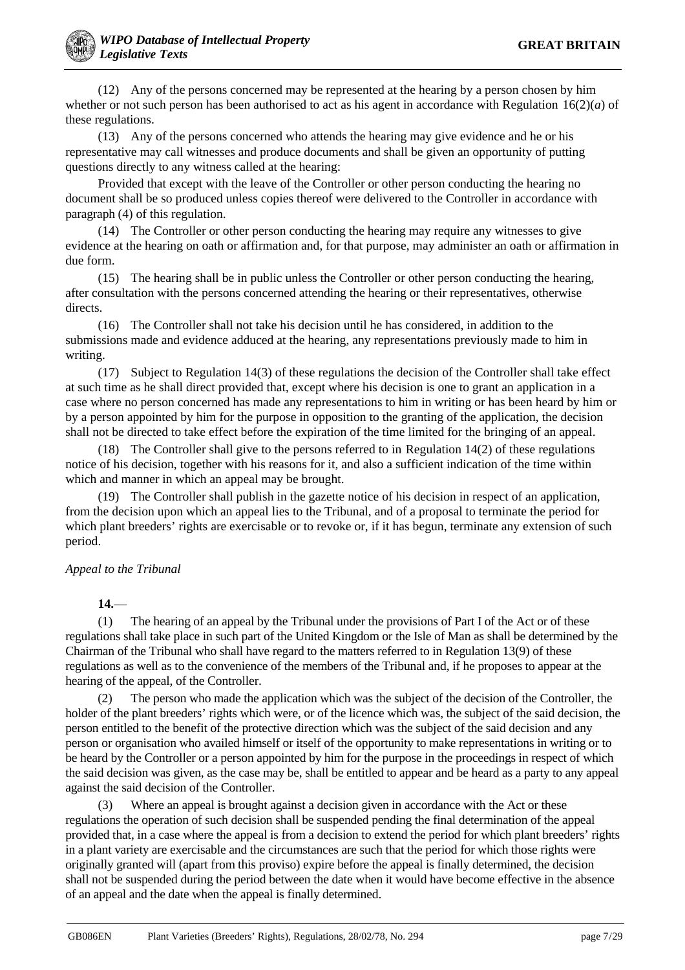(12) Any of the persons concerned may be represented at the hearing by a person chosen by him whether or not such person has been authorised to act as his agent in accordance with Regulation 16(2)(*a*) of these regulations.

(13) Any of the persons concerned who attends the hearing may give evidence and he or his representative may call witnesses and produce documents and shall be given an opportunity of putting questions directly to any witness called at the hearing:

Provided that except with the leave of the Controller or other person conducting the hearing no document shall be so produced unless copies thereof were delivered to the Controller in accordance with paragraph (4) of this regulation.

(14) The Controller or other person conducting the hearing may require any witnesses to give evidence at the hearing on oath or affirmation and, for that purpose, may administer an oath or affirmation in due form.

(15) The hearing shall be in public unless the Controller or other person conducting the hearing, after consultation with the persons concerned attending the hearing or their representatives, otherwise directs.

(16) The Controller shall not take his decision until he has considered, in addition to the submissions made and evidence adduced at the hearing, any representations previously made to him in writing.

(17) Subject to Regulation 14(3) of these regulations the decision of the Controller shall take effect at such time as he shall direct provided that, except where his decision is one to grant an application in a case where no person concerned has made any representations to him in writing or has been heard by him or by a person appointed by him for the purpose in opposition to the granting of the application, the decision shall not be directed to take effect before the expiration of the time limited for the bringing of an appeal.

(18) The Controller shall give to the persons referred to in Regulation 14(2) of these regulations notice of his decision, together with his reasons for it, and also a sufficient indication of the time within which and manner in which an appeal may be brought.

(19) The Controller shall publish in the gazette notice of his decision in respect of an application, from the decision upon which an appeal lies to the Tribunal, and of a proposal to terminate the period for which plant breeders' rights are exercisable or to revoke or, if it has begun, terminate any extension of such period.

## *Appeal to the Tribunal*

**14.**—

(1) The hearing of an appeal by the Tribunal under the provisions of Part I of the Act or of these regulations shall take place in such part of the United Kingdom or the Isle of Man as shall be determined by the Chairman of the Tribunal who shall have regard to the matters referred to in Regulation 13(9) of these regulations as well as to the convenience of the members of the Tribunal and, if he proposes to appear at the hearing of the appeal, of the Controller.

(2) The person who made the application which was the subject of the decision of the Controller, the holder of the plant breeders' rights which were, or of the licence which was, the subject of the said decision, the person entitled to the benefit of the protective direction which was the subject of the said decision and any person or organisation who availed himself or itself of the opportunity to make representations in writing or to be heard by the Controller or a person appointed by him for the purpose in the proceedings in respect of which the said decision was given, as the case may be, shall be entitled to appear and be heard as a party to any appeal against the said decision of the Controller.

(3) Where an appeal is brought against a decision given in accordance with the Act or these regulations the operation of such decision shall be suspended pending the final determination of the appeal provided that, in a case where the appeal is from a decision to extend the period for which plant breeders' rights in a plant variety are exercisable and the circumstances are such that the period for which those rights were originally granted will (apart from this proviso) expire before the appeal is finally determined, the decision shall not be suspended during the period between the date when it would have become effective in the absence of an appeal and the date when the appeal is finally determined.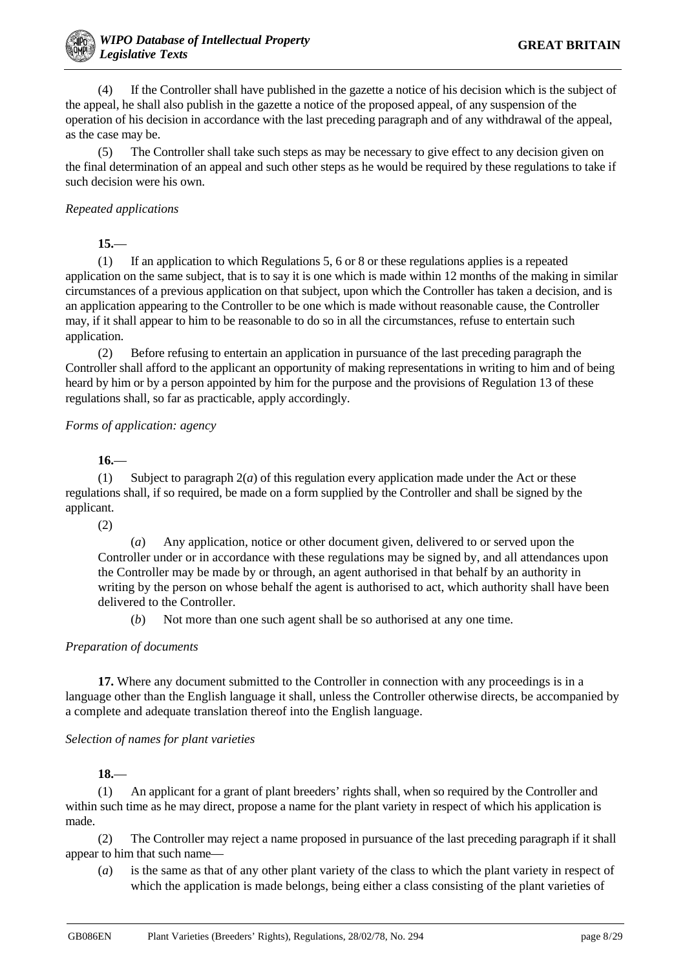(4) If the Controller shall have published in the gazette a notice of his decision which is the subject of the appeal, he shall also publish in the gazette a notice of the proposed appeal, of any suspension of the operation of his decision in accordance with the last preceding paragraph and of any withdrawal of the appeal, as the case may be.

(5) The Controller shall take such steps as may be necessary to give effect to any decision given on the final determination of an appeal and such other steps as he would be required by these regulations to take if such decision were his own.

## *Repeated applications*

**15.**—

(1) If an application to which Regulations 5, 6 or 8 or these regulations applies is a repeated application on the same subject, that is to say it is one which is made within 12 months of the making in similar circumstances of a previous application on that subject, upon which the Controller has taken a decision, and is an application appearing to the Controller to be one which is made without reasonable cause, the Controller may, if it shall appear to him to be reasonable to do so in all the circumstances, refuse to entertain such application.

(2) Before refusing to entertain an application in pursuance of the last preceding paragraph the Controller shall afford to the applicant an opportunity of making representations in writing to him and of being heard by him or by a person appointed by him for the purpose and the provisions of Regulation 13 of these regulations shall, so far as practicable, apply accordingly.

## *Forms of application: agency*

**16.**—

(1) Subject to paragraph  $2(a)$  of this regulation every application made under the Act or these regulations shall, if so required, be made on a form supplied by the Controller and shall be signed by the applicant.

(2)

(*a*) Any application, notice or other document given, delivered to or served upon the Controller under or in accordance with these regulations may be signed by, and all attendances upon the Controller may be made by or through, an agent authorised in that behalf by an authority in writing by the person on whose behalf the agent is authorised to act, which authority shall have been delivered to the Controller.

(*b*) Not more than one such agent shall be so authorised at any one time.

#### *Preparation of documents*

**17.** Where any document submitted to the Controller in connection with any proceedings is in a language other than the English language it shall, unless the Controller otherwise directs, be accompanied by a complete and adequate translation thereof into the English language.

#### *Selection of names for plant varieties*

**18.**—

(1) An applicant for a grant of plant breeders' rights shall, when so required by the Controller and within such time as he may direct, propose a name for the plant variety in respect of which his application is made.

(2) The Controller may reject a name proposed in pursuance of the last preceding paragraph if it shall appear to him that such name—

(*a*) is the same as that of any other plant variety of the class to which the plant variety in respect of which the application is made belongs, being either a class consisting of the plant varieties of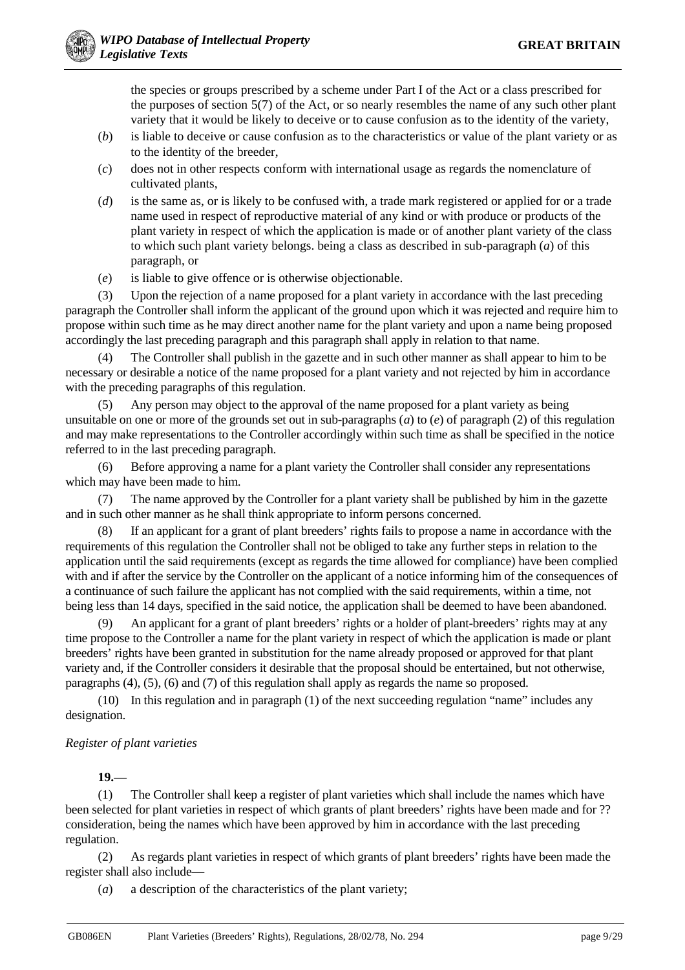the species or groups prescribed by a scheme under Part I of the Act or a class prescribed for the purposes of section 5(7) of the Act, or so nearly resembles the name of any such other plant variety that it would be likely to deceive or to cause confusion as to the identity of the variety,

- (*b*) is liable to deceive or cause confusion as to the characteristics or value of the plant variety or as to the identity of the breeder,
- (*c*) does not in other respects conform with international usage as regards the nomenclature of cultivated plants,
- (*d*) is the same as, or is likely to be confused with, a trade mark registered or applied for or a trade name used in respect of reproductive material of any kind or with produce or products of the plant variety in respect of which the application is made or of another plant variety of the class to which such plant variety belongs. being a class as described in sub-paragraph (*a*) of this paragraph, or
- (*e*) is liable to give offence or is otherwise objectionable.

(3) Upon the rejection of a name proposed for a plant variety in accordance with the last preceding paragraph the Controller shall inform the applicant of the ground upon which it was rejected and require him to propose within such time as he may direct another name for the plant variety and upon a name being proposed accordingly the last preceding paragraph and this paragraph shall apply in relation to that name.

(4) The Controller shall publish in the gazette and in such other manner as shall appear to him to be necessary or desirable a notice of the name proposed for a plant variety and not rejected by him in accordance with the preceding paragraphs of this regulation.

(5) Any person may object to the approval of the name proposed for a plant variety as being unsuitable on one or more of the grounds set out in sub-paragraphs (*a*) to (*e*) of paragraph (2) of this regulation and may make representations to the Controller accordingly within such time as shall be specified in the notice referred to in the last preceding paragraph.

(6) Before approving a name for a plant variety the Controller shall consider any representations which may have been made to him.

(7) The name approved by the Controller for a plant variety shall be published by him in the gazette and in such other manner as he shall think appropriate to inform persons concerned.

(8) If an applicant for a grant of plant breeders' rights fails to propose a name in accordance with the requirements of this regulation the Controller shall not be obliged to take any further steps in relation to the application until the said requirements (except as regards the time allowed for compliance) have been complied with and if after the service by the Controller on the applicant of a notice informing him of the consequences of a continuance of such failure the applicant has not complied with the said requirements, within a time, not being less than 14 days, specified in the said notice, the application shall be deemed to have been abandoned.

(9) An applicant for a grant of plant breeders' rights or a holder of plant-breeders' rights may at any time propose to the Controller a name for the plant variety in respect of which the application is made or plant breeders' rights have been granted in substitution for the name already proposed or approved for that plant variety and, if the Controller considers it desirable that the proposal should be entertained, but not otherwise, paragraphs (4), (5), (6) and (7) of this regulation shall apply as regards the name so proposed.

(10) In this regulation and in paragraph (1) of the next succeeding regulation "name" includes any designation.

## *Register of plant varieties*

**19.**—

(1) The Controller shall keep a register of plant varieties which shall include the names which have been selected for plant varieties in respect of which grants of plant breeders' rights have been made and for ?? consideration, being the names which have been approved by him in accordance with the last preceding regulation.

(2) As regards plant varieties in respect of which grants of plant breeders' rights have been made the register shall also include—

(*a*) a description of the characteristics of the plant variety;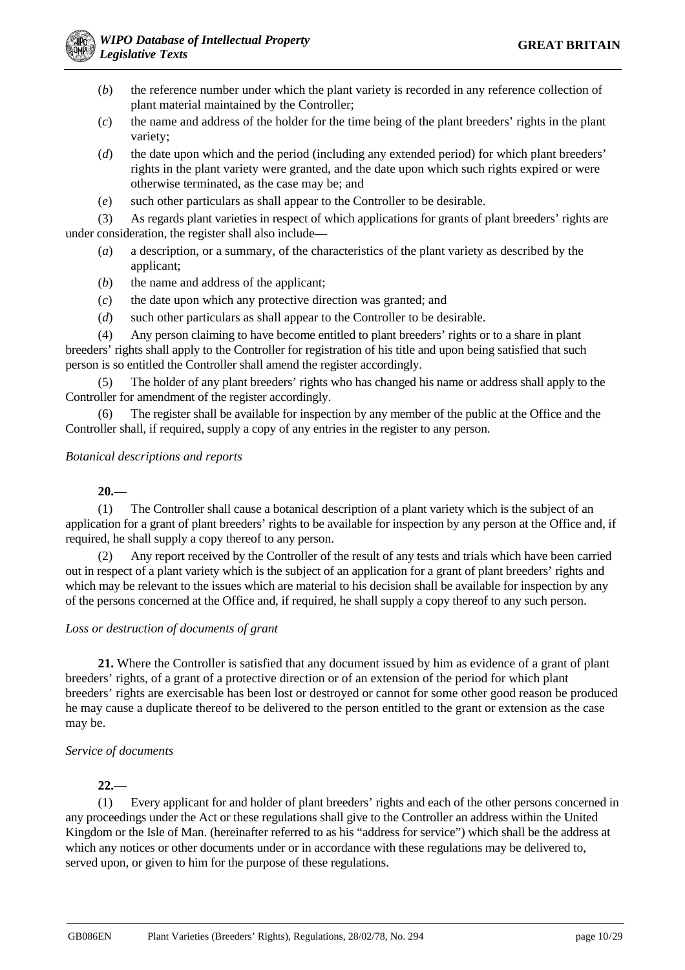- (*b*) the reference number under which the plant variety is recorded in any reference collection of plant material maintained by the Controller;
- (*c*) the name and address of the holder for the time being of the plant breeders' rights in the plant variety;
- (*d*) the date upon which and the period (including any extended period) for which plant breeders' rights in the plant variety were granted, and the date upon which such rights expired or were otherwise terminated, as the case may be; and
- (*e*) such other particulars as shall appear to the Controller to be desirable.

(3) As regards plant varieties in respect of which applications for grants of plant breeders' rights are under consideration, the register shall also include—

- (*a*) a description, or a summary, of the characteristics of the plant variety as described by the applicant;
- (*b*) the name and address of the applicant;
- (*c*) the date upon which any protective direction was granted; and
- (*d*) such other particulars as shall appear to the Controller to be desirable.

(4) Any person claiming to have become entitled to plant breeders' rights or to a share in plant breeders' rights shall apply to the Controller for registration of his title and upon being satisfied that such person is so entitled the Controller shall amend the register accordingly.

(5) The holder of any plant breeders' rights who has changed his name or address shall apply to the Controller for amendment of the register accordingly.

(6) The register shall be available for inspection by any member of the public at the Office and the Controller shall, if required, supply a copy of any entries in the register to any person.

#### *Botanical descriptions and reports*

## **20.**—

(1) The Controller shall cause a botanical description of a plant variety which is the subject of an application for a grant of plant breeders' rights to be available for inspection by any person at the Office and, if required, he shall supply a copy thereof to any person.

(2) Any report received by the Controller of the result of any tests and trials which have been carried out in respect of a plant variety which is the subject of an application for a grant of plant breeders' rights and which may be relevant to the issues which are material to his decision shall be available for inspection by any of the persons concerned at the Office and, if required, he shall supply a copy thereof to any such person.

#### *Loss or destruction of documents of grant*

**21.** Where the Controller is satisfied that any document issued by him as evidence of a grant of plant breeders' rights, of a grant of a protective direction or of an extension of the period for which plant breeders' rights are exercisable has been lost or destroyed or cannot for some other good reason be produced he may cause a duplicate thereof to be delivered to the person entitled to the grant or extension as the case may be.

#### *Service of documents*

#### **22.**—

(1) Every applicant for and holder of plant breeders' rights and each of the other persons concerned in any proceedings under the Act or these regulations shall give to the Controller an address within the United Kingdom or the Isle of Man. (hereinafter referred to as his "address for service") which shall be the address at which any notices or other documents under or in accordance with these regulations may be delivered to, served upon, or given to him for the purpose of these regulations.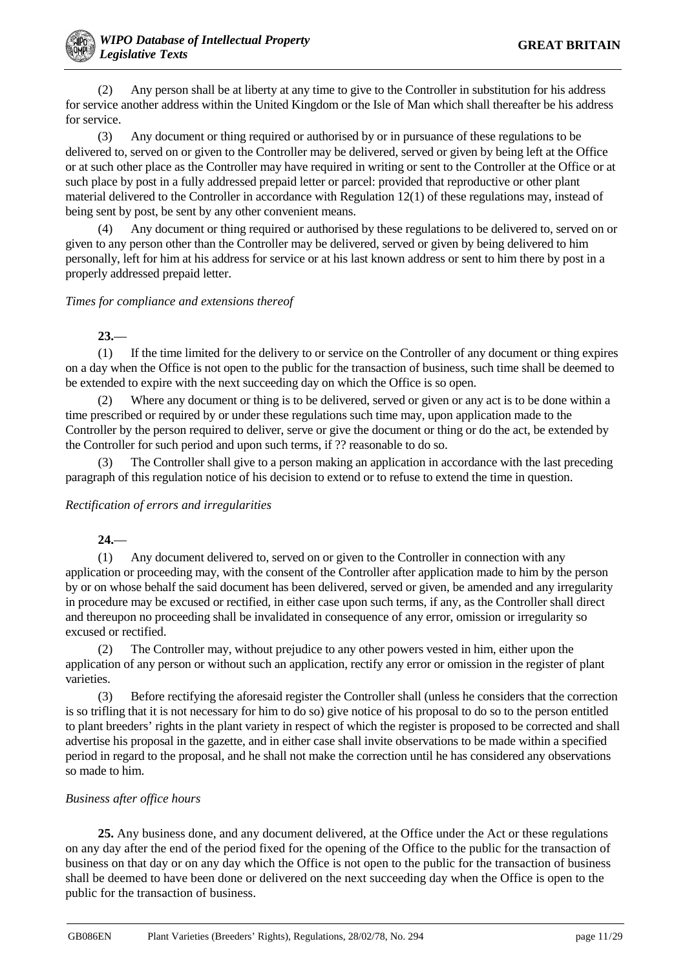(2) Any person shall be at liberty at any time to give to the Controller in substitution for his address for service another address within the United Kingdom or the Isle of Man which shall thereafter be his address for service.

(3) Any document or thing required or authorised by or in pursuance of these regulations to be delivered to, served on or given to the Controller may be delivered, served or given by being left at the Office or at such other place as the Controller may have required in writing or sent to the Controller at the Office or at such place by post in a fully addressed prepaid letter or parcel: provided that reproductive or other plant material delivered to the Controller in accordance with Regulation 12(1) of these regulations may, instead of being sent by post, be sent by any other convenient means.

(4) Any document or thing required or authorised by these regulations to be delivered to, served on or given to any person other than the Controller may be delivered, served or given by being delivered to him personally, left for him at his address for service or at his last known address or sent to him there by post in a properly addressed prepaid letter.

## *Times for compliance and extensions thereof*

**23.**—

(1) If the time limited for the delivery to or service on the Controller of any document or thing expires on a day when the Office is not open to the public for the transaction of business, such time shall be deemed to be extended to expire with the next succeeding day on which the Office is so open.

(2) Where any document or thing is to be delivered, served or given or any act is to be done within a time prescribed or required by or under these regulations such time may, upon application made to the Controller by the person required to deliver, serve or give the document or thing or do the act, be extended by the Controller for such period and upon such terms, if ?? reasonable to do so.

The Controller shall give to a person making an application in accordance with the last preceding paragraph of this regulation notice of his decision to extend or to refuse to extend the time in question.

#### *Rectification of errors and irregularities*

**24.**—

(1) Any document delivered to, served on or given to the Controller in connection with any application or proceeding may, with the consent of the Controller after application made to him by the person by or on whose behalf the said document has been delivered, served or given, be amended and any irregularity in procedure may be excused or rectified, in either case upon such terms, if any, as the Controller shall direct and thereupon no proceeding shall be invalidated in consequence of any error, omission or irregularity so excused or rectified.

(2) The Controller may, without prejudice to any other powers vested in him, either upon the application of any person or without such an application, rectify any error or omission in the register of plant varieties.

(3) Before rectifying the aforesaid register the Controller shall (unless he considers that the correction is so trifling that it is not necessary for him to do so) give notice of his proposal to do so to the person entitled to plant breeders' rights in the plant variety in respect of which the register is proposed to be corrected and shall advertise his proposal in the gazette, and in either case shall invite observations to be made within a specified period in regard to the proposal, and he shall not make the correction until he has considered any observations so made to him.

#### *Business after office hours*

**25.** Any business done, and any document delivered, at the Office under the Act or these regulations on any day after the end of the period fixed for the opening of the Office to the public for the transaction of business on that day or on any day which the Office is not open to the public for the transaction of business shall be deemed to have been done or delivered on the next succeeding day when the Office is open to the public for the transaction of business.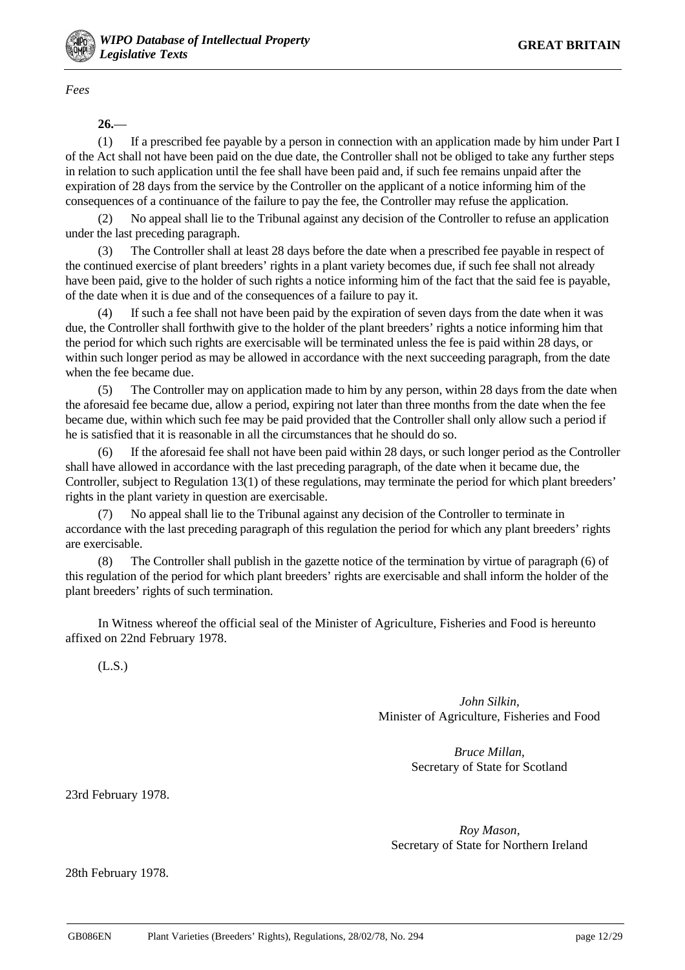

*Fees*

**26.**—

(1) If a prescribed fee payable by a person in connection with an application made by him under Part I of the Act shall not have been paid on the due date, the Controller shall not be obliged to take any further steps in relation to such application until the fee shall have been paid and, if such fee remains unpaid after the expiration of 28 days from the service by the Controller on the applicant of a notice informing him of the consequences of a continuance of the failure to pay the fee, the Controller may refuse the application.

(2) No appeal shall lie to the Tribunal against any decision of the Controller to refuse an application under the last preceding paragraph.

(3) The Controller shall at least 28 days before the date when a prescribed fee payable in respect of the continued exercise of plant breeders' rights in a plant variety becomes due, if such fee shall not already have been paid, give to the holder of such rights a notice informing him of the fact that the said fee is payable, of the date when it is due and of the consequences of a failure to pay it.

(4) If such a fee shall not have been paid by the expiration of seven days from the date when it was due, the Controller shall forthwith give to the holder of the plant breeders' rights a notice informing him that the period for which such rights are exercisable will be terminated unless the fee is paid within 28 days, or within such longer period as may be allowed in accordance with the next succeeding paragraph, from the date when the fee became due.

(5) The Controller may on application made to him by any person, within 28 days from the date when the aforesaid fee became due, allow a period, expiring not later than three months from the date when the fee became due, within which such fee may be paid provided that the Controller shall only allow such a period if he is satisfied that it is reasonable in all the circumstances that he should do so.

(6) If the aforesaid fee shall not have been paid within 28 days, or such longer period as the Controller shall have allowed in accordance with the last preceding paragraph, of the date when it became due, the Controller, subject to Regulation 13(1) of these regulations, may terminate the period for which plant breeders' rights in the plant variety in question are exercisable.

(7) No appeal shall lie to the Tribunal against any decision of the Controller to terminate in accordance with the last preceding paragraph of this regulation the period for which any plant breeders' rights are exercisable.

(8) The Controller shall publish in the gazette notice of the termination by virtue of paragraph (6) of this regulation of the period for which plant breeders' rights are exercisable and shall inform the holder of the plant breeders' rights of such termination.

In Witness whereof the official seal of the Minister of Agriculture, Fisheries and Food is hereunto affixed on 22nd February 1978.

(L.S.)

*John Silkin,* Minister of Agriculture, Fisheries and Food

> *Bruce Millan,* Secretary of State for Scotland

23rd February 1978.

*Roy Mason,* Secretary of State for Northern Ireland

28th February 1978.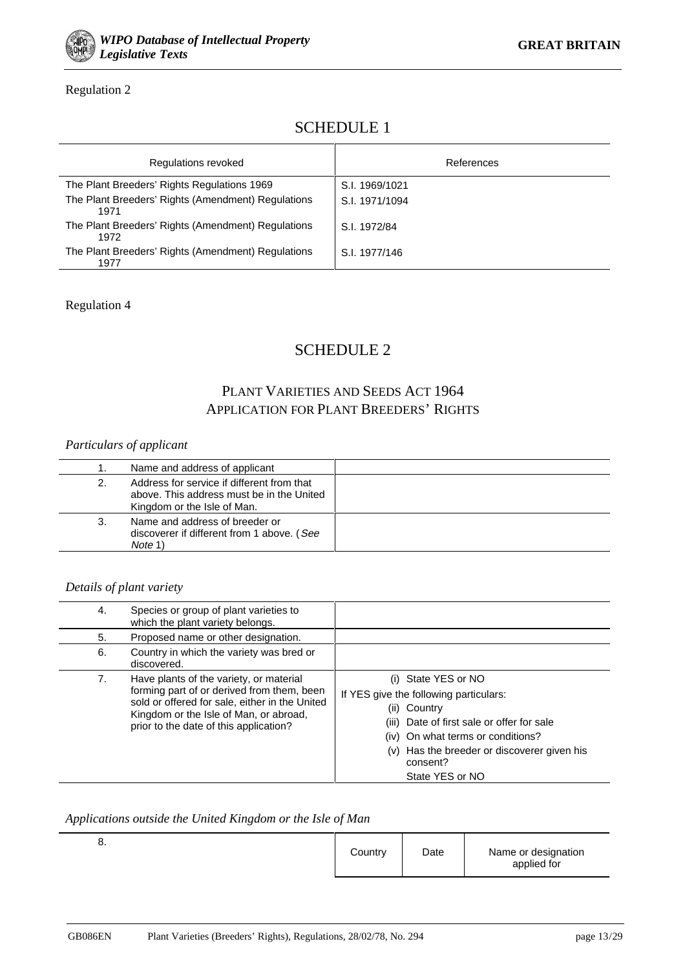

## Regulation 2

# SCHEDULE 1

| Regulations revoked                                        | References     |
|------------------------------------------------------------|----------------|
| The Plant Breeders' Rights Regulations 1969                | S.I. 1969/1021 |
| The Plant Breeders' Rights (Amendment) Regulations<br>1971 | S.I. 1971/1094 |
| The Plant Breeders' Rights (Amendment) Regulations<br>1972 | S.I. 1972/84   |
| The Plant Breeders' Rights (Amendment) Regulations<br>1977 | S.I. 1977/146  |

## Regulation 4

# SCHEDULE 2

# PLANT VARIETIES AND SEEDS ACT 1964 APPLICATION FOR PLANT BREEDERS' RIGHTS

## *Particulars of applicant*

|    | Name and address of applicant                                                                                          |  |
|----|------------------------------------------------------------------------------------------------------------------------|--|
|    | Address for service if different from that<br>above. This address must be in the United<br>Kingdom or the Isle of Man. |  |
| 3. | Name and address of breeder or<br>discoverer if different from 1 above. (See<br>Note 1                                 |  |

## *Details of plant variety*

| 4. | Species or group of plant varieties to<br>which the plant variety belongs.                                                                                                                                                  |                                                                                                                                                                                                                                                |
|----|-----------------------------------------------------------------------------------------------------------------------------------------------------------------------------------------------------------------------------|------------------------------------------------------------------------------------------------------------------------------------------------------------------------------------------------------------------------------------------------|
| 5. | Proposed name or other designation.                                                                                                                                                                                         |                                                                                                                                                                                                                                                |
| 6. | Country in which the variety was bred or<br>discovered.                                                                                                                                                                     |                                                                                                                                                                                                                                                |
| 7. | Have plants of the variety, or material<br>forming part of or derived from them, been<br>sold or offered for sale, either in the United<br>Kingdom or the Isle of Man, or abroad,<br>prior to the date of this application? | (i) State YES or NO<br>If YES give the following particulars:<br>(ii) Country<br>(iii) Date of first sale or offer for sale<br>(iv) On what terms or conditions?<br>(v) Has the breeder or discoverer given his<br>consent?<br>State YES or NO |

#### *Applications outside the United Kingdom or the Isle of Man*

|  | o. | Country | Date | Name or designation<br>applied for |
|--|----|---------|------|------------------------------------|
|--|----|---------|------|------------------------------------|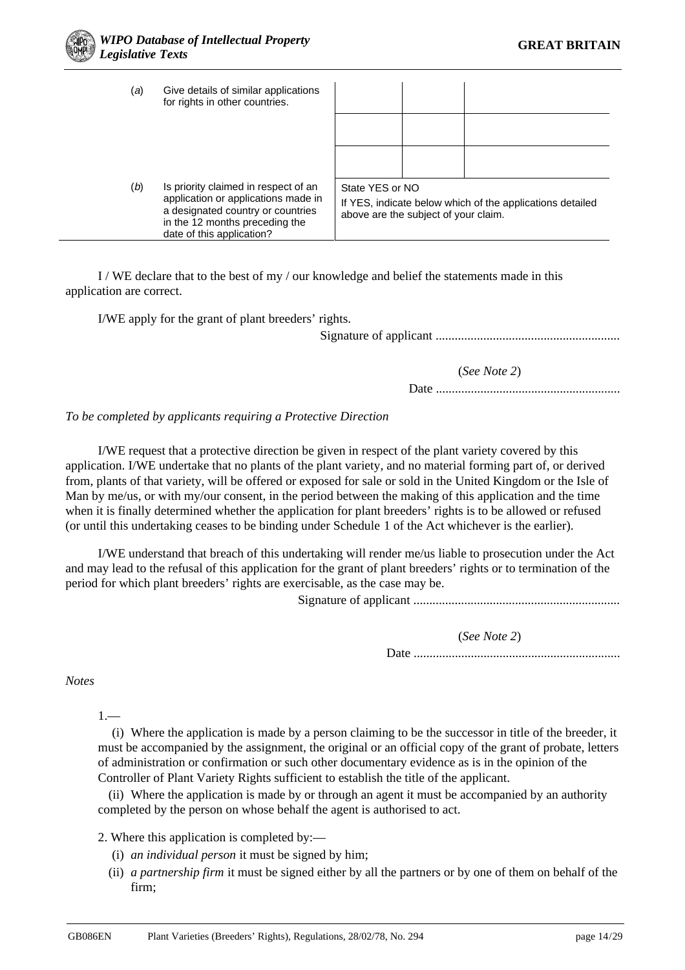| (a) | Give details of similar applications<br>for rights in other countries.                                                                                                          |                                                                                                                      |  |  |  |  |
|-----|---------------------------------------------------------------------------------------------------------------------------------------------------------------------------------|----------------------------------------------------------------------------------------------------------------------|--|--|--|--|
|     |                                                                                                                                                                                 |                                                                                                                      |  |  |  |  |
|     |                                                                                                                                                                                 |                                                                                                                      |  |  |  |  |
| (b) | Is priority claimed in respect of an<br>application or applications made in<br>a designated country or countries<br>in the 12 months preceding the<br>date of this application? | State YES or NO<br>If YES, indicate below which of the applications detailed<br>above are the subject of your claim. |  |  |  |  |

I / WE declare that to the best of my / our knowledge and belief the statements made in this application are correct.

I/WE apply for the grant of plant breeders' rights.

Signature of applicant ..........................................................

(*See Note 2*)

Date ..........................................................

#### *To be completed by applicants requiring a Protective Direction*

I/WE request that a protective direction be given in respect of the plant variety covered by this application. I/WE undertake that no plants of the plant variety, and no material forming part of, or derived from, plants of that variety, will be offered or exposed for sale or sold in the United Kingdom or the Isle of Man by me/us, or with my/our consent, in the period between the making of this application and the time when it is finally determined whether the application for plant breeders' rights is to be allowed or refused (or until this undertaking ceases to be binding under Schedule 1 of the Act whichever is the earlier).

I/WE understand that breach of this undertaking will render me/us liable to prosecution under the Act and may lead to the refusal of this application for the grant of plant breeders' rights or to termination of the period for which plant breeders' rights are exercisable, as the case may be.

Signature of applicant .................................................................

(*See Note 2*)

Date .................................................................

*Notes*

 $1 -$ 

(i) Where the application is made by a person claiming to be the successor in title of the breeder, it must be accompanied by the assignment, the original or an official copy of the grant of probate, letters of administration or confirmation or such other documentary evidence as is in the opinion of the Controller of Plant Variety Rights sufficient to establish the title of the applicant.

(ii) Where the application is made by or through an agent it must be accompanied by an authority completed by the person on whose behalf the agent is authorised to act.

2. Where this application is completed by:—

- (i) *an individual person* it must be signed by him;
- (ii) *a partnership firm* it must be signed either by all the partners or by one of them on behalf of the firm;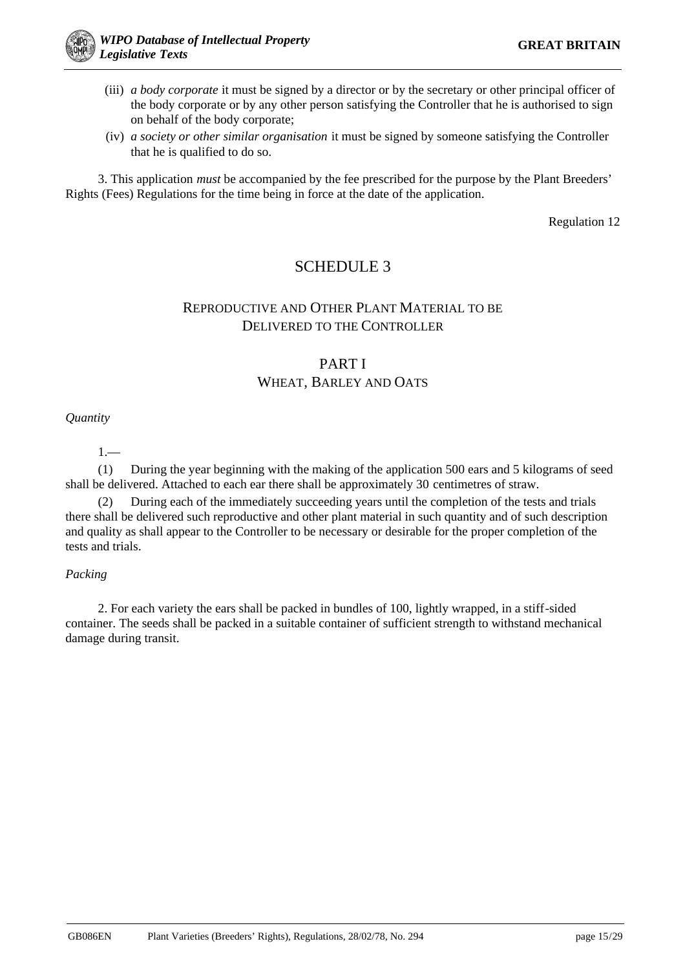

- (iii) *a body corporate* it must be signed by a director or by the secretary or other principal officer of the body corporate or by any other person satisfying the Controller that he is authorised to sign on behalf of the body corporate;
- (iv) *a society or other similar organisation* it must be signed by someone satisfying the Controller that he is qualified to do so.

3. This application *must* be accompanied by the fee prescribed for the purpose by the Plant Breeders' Rights (Fees) Regulations for the time being in force at the date of the application.

Regulation 12

# SCHEDULE 3

# REPRODUCTIVE AND OTHER PLANT MATERIAL TO BE DELIVERED TO THE CONTROLLER

# PART I WHEAT, BARLEY AND OATS

## *Quantity*

1.—

(1) During the year beginning with the making of the application 500 ears and 5 kilograms of seed shall be delivered. Attached to each ear there shall be approximately 30 centimetres of straw.

(2) During each of the immediately succeeding years until the completion of the tests and trials there shall be delivered such reproductive and other plant material in such quantity and of such description and quality as shall appear to the Controller to be necessary or desirable for the proper completion of the tests and trials.

#### *Packing*

2. For each variety the ears shall be packed in bundles of 100, lightly wrapped, in a stiff-sided container. The seeds shall be packed in a suitable container of sufficient strength to withstand mechanical damage during transit.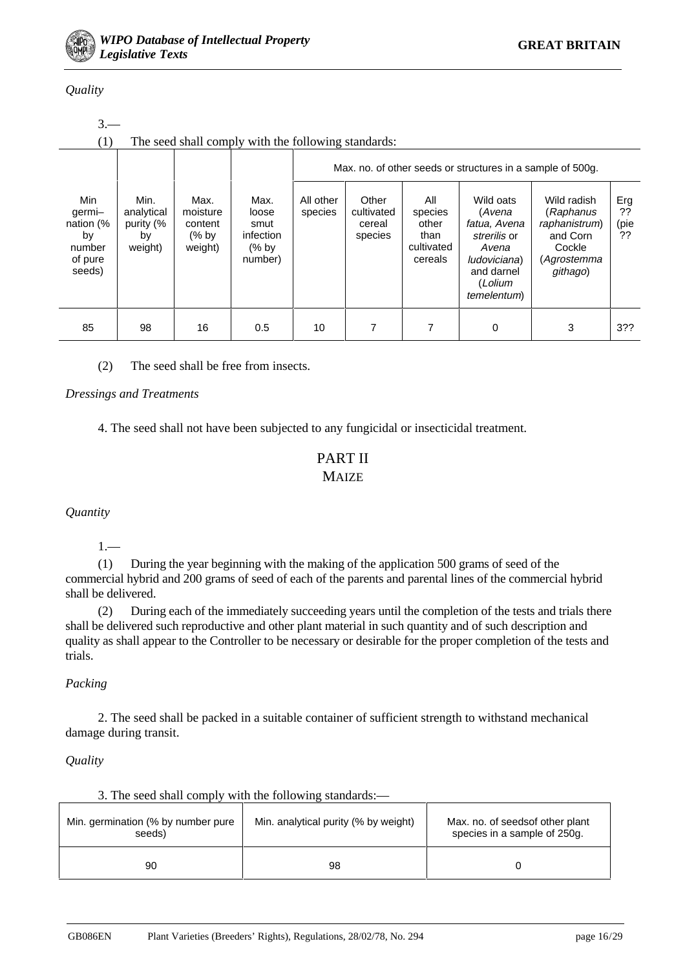

## *Quality*

| $3 -$                                                           |                                                     |                                                   |                                                                   |                      |                                          |                                                          |                                                                                                                      |                                                                                            |                         |  |  |  |  |
|-----------------------------------------------------------------|-----------------------------------------------------|---------------------------------------------------|-------------------------------------------------------------------|----------------------|------------------------------------------|----------------------------------------------------------|----------------------------------------------------------------------------------------------------------------------|--------------------------------------------------------------------------------------------|-------------------------|--|--|--|--|
| (1)                                                             | The seed shall comply with the following standards: |                                                   |                                                                   |                      |                                          |                                                          |                                                                                                                      |                                                                                            |                         |  |  |  |  |
| Max. no. of other seeds or structures in a sample of 500g.      |                                                     |                                                   |                                                                   |                      |                                          |                                                          |                                                                                                                      |                                                                                            |                         |  |  |  |  |
| Min<br>germi-<br>nation (%<br>by<br>number<br>of pure<br>seeds) | Min.<br>analytical<br>purity (%<br>by<br>weight)    | Max.<br>moisture<br>content<br>$(%$ by<br>weight) | Max.<br>loose<br>smut<br>infection<br>$\frac{9}{6}$ by<br>number) | All other<br>species | Other<br>cultivated<br>cereal<br>species | All<br>species<br>other<br>than<br>cultivated<br>cereals | Wild oats<br>(Avena<br>fatua, Avena<br>strerilis or<br>Avena<br>ludoviciana)<br>and darnel<br>(Lolium<br>temelentum) | Wild radish<br>(Raphanus<br>raphanistrum)<br>and Corn<br>Cockle<br>(Agrostemma<br>githago) | Erg<br>??<br>(pie<br>?? |  |  |  |  |
| 85                                                              | 98                                                  | 16                                                | 0.5                                                               | 10                   | 7                                        |                                                          | 0                                                                                                                    | 3                                                                                          | 3??                     |  |  |  |  |

(2) The seed shall be free from insects.

#### *Dressings and Treatments*

4. The seed shall not have been subjected to any fungicidal or insecticidal treatment.

# PART II **MAIZE**

*Quantity*

1.—

(1) During the year beginning with the making of the application 500 grams of seed of the commercial hybrid and 200 grams of seed of each of the parents and parental lines of the commercial hybrid shall be delivered.

(2) During each of the immediately succeeding years until the completion of the tests and trials there shall be delivered such reproductive and other plant material in such quantity and of such description and quality as shall appear to the Controller to be necessary or desirable for the proper completion of the tests and trials.

#### *Packing*

2. The seed shall be packed in a suitable container of sufficient strength to withstand mechanical damage during transit.

#### *Quality*

|  |  |  |  | 3. The seed shall comply with the following standards:— |  |
|--|--|--|--|---------------------------------------------------------|--|

| Min. germination (% by number pure<br>seeds) | Min. analytical purity (% by weight) | Max. no. of seedsof other plant<br>species in a sample of 250g. |
|----------------------------------------------|--------------------------------------|-----------------------------------------------------------------|
| 90                                           | 98                                   |                                                                 |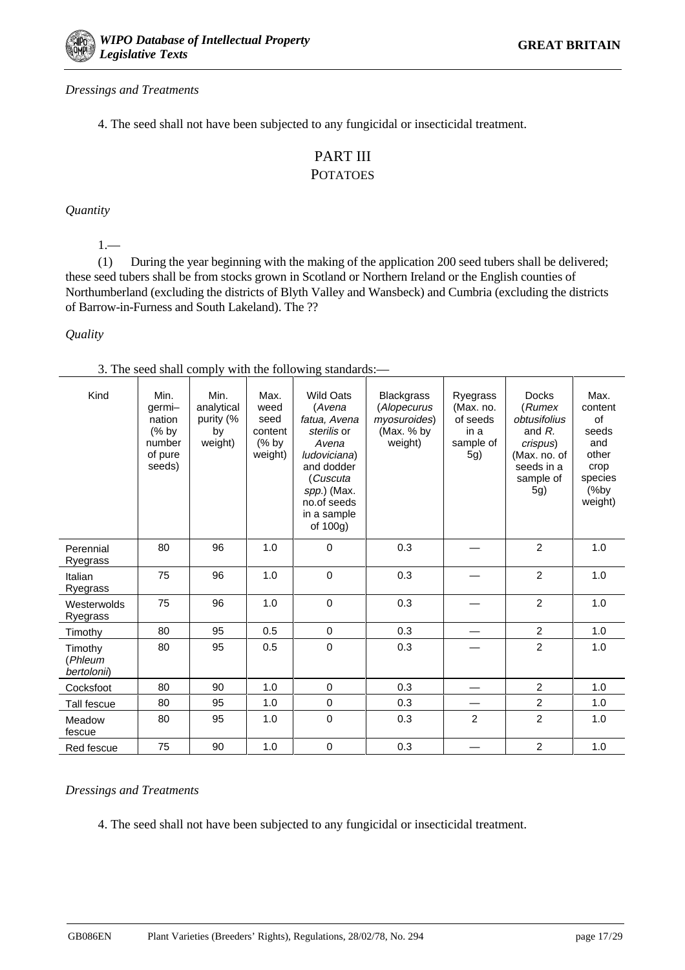## *Dressings and Treatments*

4. The seed shall not have been subjected to any fungicidal or insecticidal treatment.

# PART III POTATOES

*Quantity*

1.—

(1) During the year beginning with the making of the application 200 seed tubers shall be delivered; these seed tubers shall be from stocks grown in Scotland or Northern Ireland or the English counties of Northumberland (excluding the districts of Blyth Valley and Wansbeck) and Cumbria (excluding the districts of Barrow-in-Furness and South Lakeland). The ??

## *Quality*

3. The seed shall comply with the following standards:—

| Kind                              | Min.<br>germi-<br>nation<br>$(%$ by<br>number<br>of pure<br>seeds) | Min.<br>analytical<br>purity (%<br>by<br>weight) | Max.<br>weed<br>seed<br>content<br>$(%$ by<br>weight) | <b>Wild Oats</b><br>(Avena<br>fatua, Avena<br>sterilis or<br>Avena<br>ludoviciana)<br>and dodder<br>(Cuscuta<br>spp.) (Max.<br>no.of seeds<br>in a sample<br>of 100g) | <b>Blackgrass</b><br>(Alopecurus<br>myosuroides)<br>(Max. % by<br>weight) | Ryegrass<br>(Max. no.<br>of seeds<br>in a<br>sample of<br>5g) | <b>Docks</b><br>(Rumex<br>obtusifolius<br>and $R$ .<br>crispus)<br>(Max. no. of<br>seeds in a<br>sample of<br>5g) | Max.<br>content<br>of<br>seeds<br>and<br>other<br>crop<br>species<br>%by<br>weight) |
|-----------------------------------|--------------------------------------------------------------------|--------------------------------------------------|-------------------------------------------------------|-----------------------------------------------------------------------------------------------------------------------------------------------------------------------|---------------------------------------------------------------------------|---------------------------------------------------------------|-------------------------------------------------------------------------------------------------------------------|-------------------------------------------------------------------------------------|
| Perennial<br>Ryegrass             | 80                                                                 | 96                                               | 1.0                                                   | $\mathbf 0$                                                                                                                                                           | 0.3                                                                       |                                                               | $\overline{2}$                                                                                                    | 1.0                                                                                 |
| Italian<br>Ryegrass               | 75                                                                 | 96                                               | 1.0                                                   | $\Omega$                                                                                                                                                              | 0.3                                                                       |                                                               | $\overline{2}$                                                                                                    | 1.0                                                                                 |
| Westerwolds<br>Ryegrass           | 75                                                                 | 96                                               | 1.0                                                   | $\mathbf 0$                                                                                                                                                           | 0.3                                                                       |                                                               | $\overline{2}$                                                                                                    | 1.0                                                                                 |
| Timothy                           | 80                                                                 | 95                                               | 0.5                                                   | $\mathbf 0$                                                                                                                                                           | 0.3                                                                       |                                                               | $\overline{2}$                                                                                                    | 1.0                                                                                 |
| Timothy<br>(Phleum<br>bertolonii) | 80                                                                 | 95                                               | 0.5                                                   | $\pmb{0}$                                                                                                                                                             | 0.3                                                                       |                                                               | $\overline{2}$                                                                                                    | 1.0                                                                                 |
| Cocksfoot                         | 80                                                                 | 90                                               | 1.0                                                   | $\mathbf 0$                                                                                                                                                           | 0.3                                                                       |                                                               | $\overline{2}$                                                                                                    | 1.0                                                                                 |
| Tall fescue                       | 80                                                                 | 95                                               | 1.0                                                   | $\mathbf 0$                                                                                                                                                           | 0.3                                                                       |                                                               | $\overline{2}$                                                                                                    | 1.0                                                                                 |
| Meadow<br>fescue                  | 80                                                                 | 95                                               | 1.0                                                   | $\mathbf 0$                                                                                                                                                           | 0.3                                                                       | $\overline{2}$                                                | $\overline{2}$                                                                                                    | 1.0                                                                                 |
| Red fescue                        | 75                                                                 | 90                                               | 1.0                                                   | $\mathbf 0$                                                                                                                                                           | 0.3                                                                       |                                                               | $\overline{2}$                                                                                                    | 1.0                                                                                 |

#### *Dressings and Treatments*

4. The seed shall not have been subjected to any fungicidal or insecticidal treatment.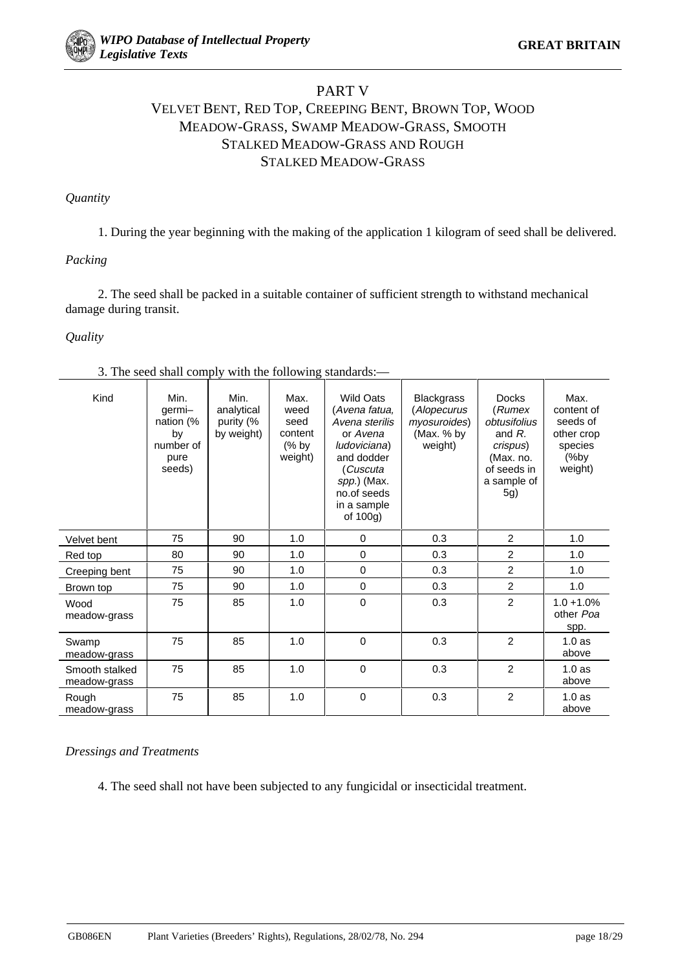# PART V VELVET BENT, RED TOP, CREEPING BENT, BROWN TOP, WOOD MEADOW-GRASS, SWAMP MEADOW-GRASS, SMOOTH STALKED MEADOW-GRASS AND ROUGH STALKED MEADOW-GRASS

## *Quantity*

1. During the year beginning with the making of the application 1 kilogram of seed shall be delivered.

## *Packing*

2. The seed shall be packed in a suitable container of sufficient strength to withstand mechanical damage during transit.

## *Quality*

|  |  |  |  |  |  |  |  | 3. The seed shall comply with the following standards:- |  |
|--|--|--|--|--|--|--|--|---------------------------------------------------------|--|
|--|--|--|--|--|--|--|--|---------------------------------------------------------|--|

| Kind                           | Min.<br>germi-<br>nation (%<br>by<br>number of<br>pure<br>seeds) | Min.<br>analytical<br>purity (%<br>by weight) | Max.<br>weed<br>seed<br>content<br>$%$ by<br>weight) | <b>Wild Oats</b><br>(Avena fatua,<br>Avena sterilis<br>or Avena<br>ludoviciana)<br>and dodder<br>(Cuscuta<br>spp.) (Max.<br>no.of seeds<br>in a sample<br>of $100g$ ) | <b>Blackgrass</b><br>(Alopecurus<br>myosuroides)<br>(Max. % by<br>weight) | <b>Docks</b><br>(Rumex<br>obtusifolius<br>and $R$ .<br>crispus)<br>(Max. no.<br>of seeds in<br>a sample of<br>5g) | Max.<br>content of<br>seeds of<br>other crop<br>species<br>(%by<br>weight) |
|--------------------------------|------------------------------------------------------------------|-----------------------------------------------|------------------------------------------------------|-----------------------------------------------------------------------------------------------------------------------------------------------------------------------|---------------------------------------------------------------------------|-------------------------------------------------------------------------------------------------------------------|----------------------------------------------------------------------------|
| Velvet bent                    | 75                                                               | 90                                            | 1.0                                                  | $\mathbf 0$                                                                                                                                                           | 0.3                                                                       | $\overline{2}$                                                                                                    | 1.0                                                                        |
| Red top                        | 80                                                               | 90                                            | 1.0                                                  | $\mathbf 0$                                                                                                                                                           | 0.3                                                                       | $\overline{2}$                                                                                                    | 1.0                                                                        |
| Creeping bent                  | 75                                                               | 90                                            | 1.0                                                  | $\mathbf 0$                                                                                                                                                           | 0.3                                                                       | 2                                                                                                                 | 1.0                                                                        |
| Brown top                      | 75                                                               | 90                                            | 1.0                                                  | $\mathbf 0$                                                                                                                                                           | 0.3                                                                       | $\overline{c}$                                                                                                    | 1.0                                                                        |
| Wood<br>meadow-grass           | 75                                                               | 85                                            | 1.0                                                  | 0                                                                                                                                                                     | 0.3                                                                       | $\overline{2}$                                                                                                    | $1.0 + 1.0%$<br>other Poa<br>spp.                                          |
| Swamp<br>meadow-grass          | 75                                                               | 85                                            | 1.0                                                  | $\Omega$                                                                                                                                                              | 0.3                                                                       | $\overline{2}$                                                                                                    | 1.0as<br>above                                                             |
| Smooth stalked<br>meadow-grass | 75                                                               | 85                                            | 1.0                                                  | 0                                                                                                                                                                     | 0.3                                                                       | 2                                                                                                                 | 1.0 <sub>as</sub><br>above                                                 |
| Rough<br>meadow-grass          | 75                                                               | 85                                            | 1.0                                                  | 0                                                                                                                                                                     | 0.3                                                                       | $\overline{2}$                                                                                                    | 1.0 <sub>as</sub><br>above                                                 |

#### *Dressings and Treatments*

4. The seed shall not have been subjected to any fungicidal or insecticidal treatment.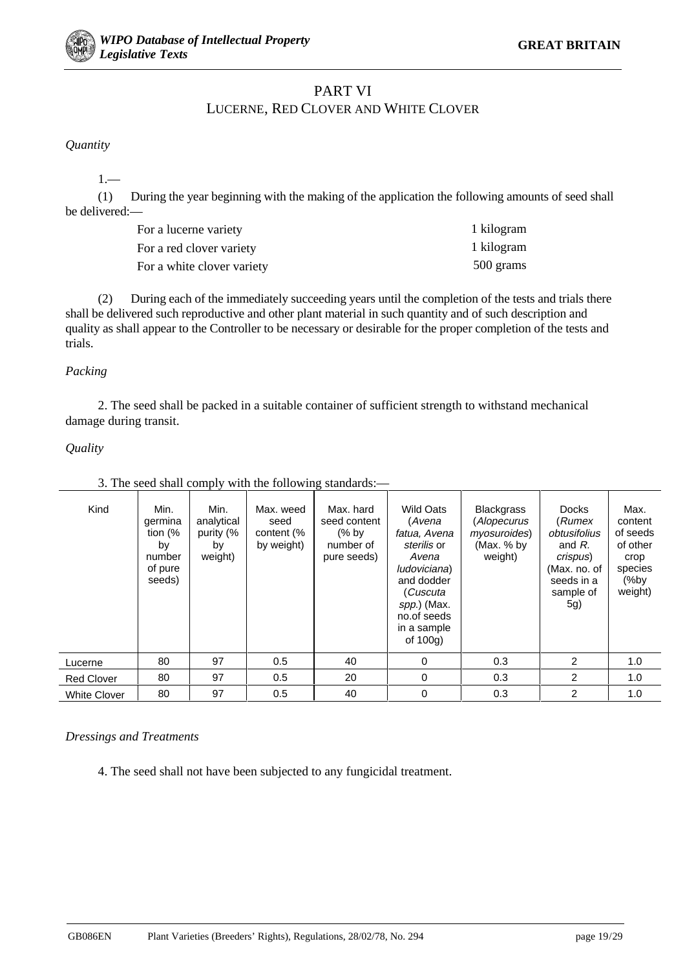## PART VI

## LUCERNE, RED CLOVER AND WHITE CLOVER

*Quantity*

1.—

(1) During the year beginning with the making of the application the following amounts of seed shall be delivered:—

| For a lucerne variety      | 1 kilogram |
|----------------------------|------------|
| For a red clover variety   | 1 kilogram |
| For a white clover variety | 500 grams  |

(2) During each of the immediately succeeding years until the completion of the tests and trials there shall be delivered such reproductive and other plant material in such quantity and of such description and quality as shall appear to the Controller to be necessary or desirable for the proper completion of the tests and trials.

## *Packing*

2. The seed shall be packed in a suitable container of sufficient strength to withstand mechanical damage during transit.

## *Quality*

| Kind                | Min.<br>germina<br>tion $\frac{1}{6}$<br>by<br>number<br>of pure<br>seeds) | Min.<br>analytical<br>purity (%<br>by<br>weight) | Max. weed<br>seed<br>content (%<br>by weight) | Max. hard<br>seed content<br>$\frac{9}{6}$ by<br>number of<br>pure seeds) | <b>Wild Oats</b><br>(Avena<br>fatua, Avena<br>sterilis or<br>Avena<br>ludoviciana)<br>and dodder<br>(Cuscuta<br>spp.) (Max.<br>no.of seeds<br>in a sample<br>of $100q$ ) | <b>Blackgrass</b><br>(Alopecurus<br>myosuroides)<br>(Max. % by<br>weight) | <b>Docks</b><br>(Rumex<br>obtusifolius<br>and $R$ .<br>crispus)<br>(Max. no. of<br>seeds in a<br>sample of<br>5g) | Max.<br>content<br>of seeds<br>of other<br>crop<br>species<br>(%by<br>weight) |
|---------------------|----------------------------------------------------------------------------|--------------------------------------------------|-----------------------------------------------|---------------------------------------------------------------------------|--------------------------------------------------------------------------------------------------------------------------------------------------------------------------|---------------------------------------------------------------------------|-------------------------------------------------------------------------------------------------------------------|-------------------------------------------------------------------------------|
| Lucerne             | 80                                                                         | 97                                               | 0.5                                           | 40                                                                        | 0                                                                                                                                                                        | 0.3                                                                       | $\overline{2}$                                                                                                    | 1.0                                                                           |
| <b>Red Clover</b>   | 80                                                                         | 97                                               | 0.5                                           | 20                                                                        | 0                                                                                                                                                                        | 0.3                                                                       | $\overline{2}$                                                                                                    | 1.0                                                                           |
| <b>White Clover</b> | 80                                                                         | 97                                               | 0.5                                           | 40                                                                        | 0                                                                                                                                                                        | 0.3                                                                       | 2                                                                                                                 | 1.0                                                                           |

## 3. The seed shall comply with the following standards:—

#### *Dressings and Treatments*

4. The seed shall not have been subjected to any fungicidal treatment.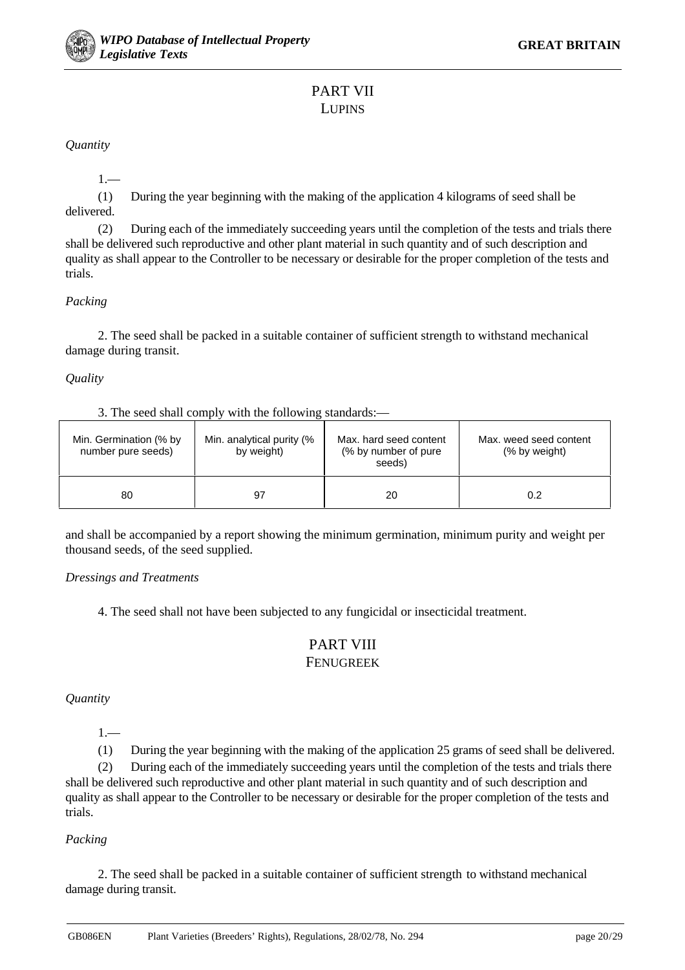

# PART VII LUPINS

*Quantity*

1.—

(1) During the year beginning with the making of the application 4 kilograms of seed shall be delivered.

(2) During each of the immediately succeeding years until the completion of the tests and trials there shall be delivered such reproductive and other plant material in such quantity and of such description and quality as shall appear to the Controller to be necessary or desirable for the proper completion of the tests and trials.

## *Packing*

2. The seed shall be packed in a suitable container of sufficient strength to withstand mechanical damage during transit.

*Quality*

| 3. The seed shall comply with the following standards:— |
|---------------------------------------------------------|
|---------------------------------------------------------|

| Min. Germination (% by<br>number pure seeds) | Min. analytical purity (%<br>by weight) | Max, hard seed content<br>(% by number of pure)<br>seeds) | Max, weed seed content<br>(% by weight) |
|----------------------------------------------|-----------------------------------------|-----------------------------------------------------------|-----------------------------------------|
| 80                                           | 97                                      | 20                                                        | 0.2                                     |

and shall be accompanied by a report showing the minimum germination, minimum purity and weight per thousand seeds, of the seed supplied.

## *Dressings and Treatments*

4. The seed shall not have been subjected to any fungicidal or insecticidal treatment.

## PART VIII FENUGREEK

*Quantity*

 $1 -$ 

(1) During the year beginning with the making of the application 25 grams of seed shall be delivered.

(2) During each of the immediately succeeding years until the completion of the tests and trials there shall be delivered such reproductive and other plant material in such quantity and of such description and quality as shall appear to the Controller to be necessary or desirable for the proper completion of the tests and trials.

## *Packing*

2. The seed shall be packed in a suitable container of sufficient strength to withstand mechanical damage during transit.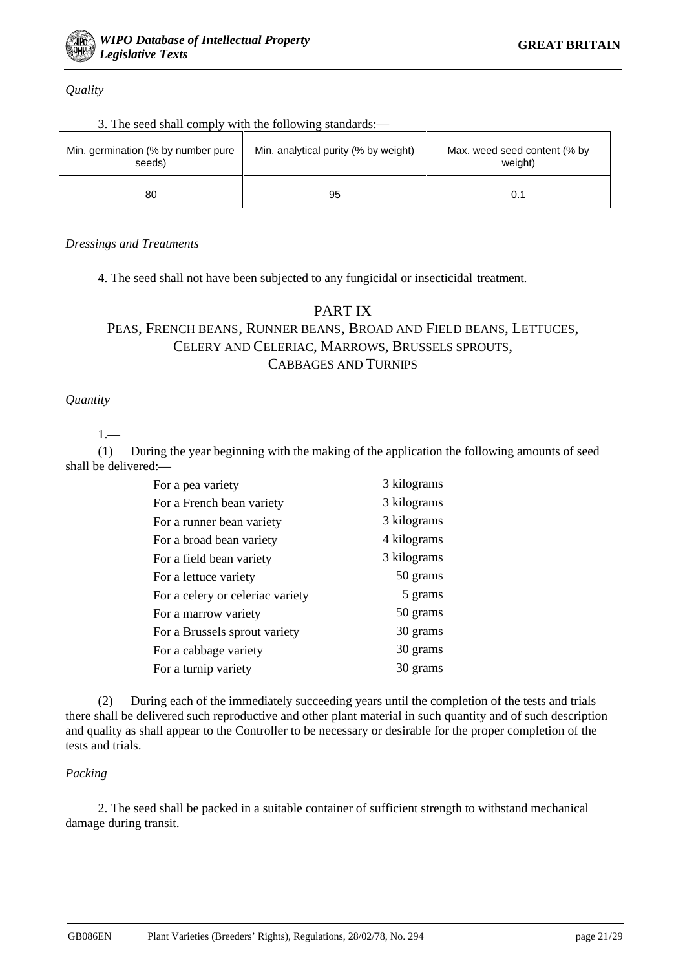

*Quality*

| 3. The seed shall comply with the following standards:- |  |  |  |  |  |  |  |  |  |  |  |
|---------------------------------------------------------|--|--|--|--|--|--|--|--|--|--|--|
|---------------------------------------------------------|--|--|--|--|--|--|--|--|--|--|--|

| Min. germination (% by number pure<br>seeds) | Min. analytical purity (% by weight) | Max. weed seed content (% by<br>weight) |
|----------------------------------------------|--------------------------------------|-----------------------------------------|
| 80                                           | 95                                   |                                         |

## *Dressings and Treatments*

4. The seed shall not have been subjected to any fungicidal or insecticidal treatment.

## PART IX

# PEAS, FRENCH BEANS, RUNNER BEANS, BROAD AND FIELD BEANS, LETTUCES, CELERY AND CELERIAC, MARROWS, BRUSSELS SPROUTS, CABBAGES AND TURNIPS

## *Quantity*

1.—

(1) During the year beginning with the making of the application the following amounts of seed shall be delivered:—

| For a pea variety                | 3 kilograms |
|----------------------------------|-------------|
| For a French bean variety        | 3 kilograms |
| For a runner bean variety        | 3 kilograms |
| For a broad bean variety         | 4 kilograms |
| For a field bean variety         | 3 kilograms |
| For a lettuce variety            | 50 grams    |
| For a celery or celeriac variety | 5 grams     |
| For a marrow variety             | 50 grams    |
| For a Brussels sprout variety    | 30 grams    |
| For a cabbage variety            | 30 grams    |
| For a turnip variety             | 30 grams    |

(2) During each of the immediately succeeding years until the completion of the tests and trials there shall be delivered such reproductive and other plant material in such quantity and of such description and quality as shall appear to the Controller to be necessary or desirable for the proper completion of the tests and trials.

#### *Packing*

2. The seed shall be packed in a suitable container of sufficient strength to withstand mechanical damage during transit.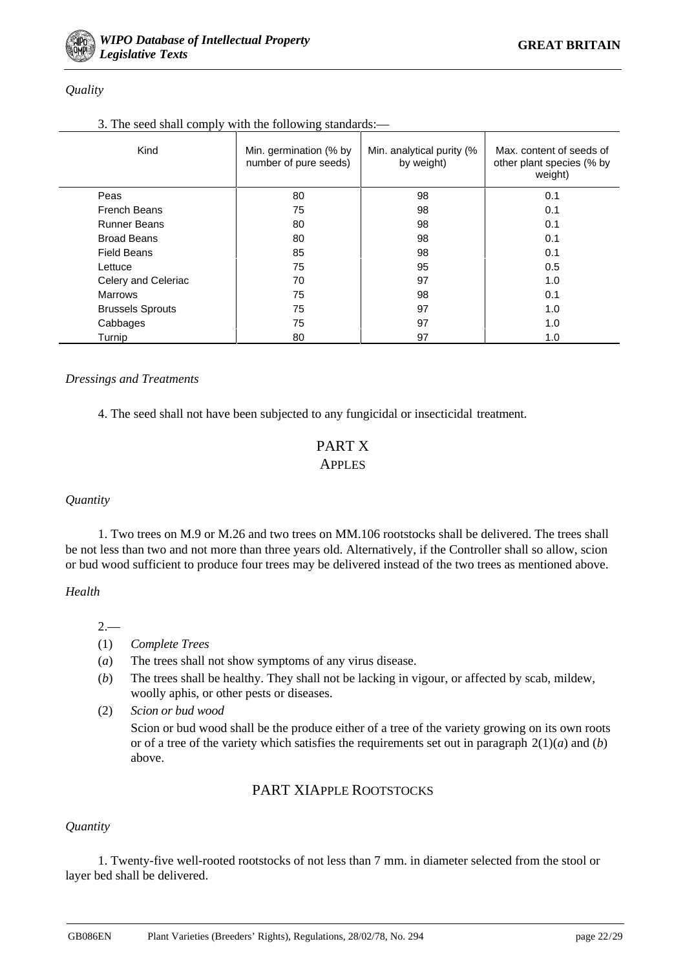## *Quality*

## 3. The seed shall comply with the following standards:—

| Kind                    | Min. germination (% by<br>number of pure seeds) | Min. analytical purity (%<br>by weight) | Max. content of seeds of<br>other plant species (% by<br>weight) |
|-------------------------|-------------------------------------------------|-----------------------------------------|------------------------------------------------------------------|
| Peas                    | 80                                              | 98                                      | 0.1                                                              |
| French Beans            | 75                                              | 98                                      | 0.1                                                              |
| <b>Runner Beans</b>     | 80                                              | 98                                      | 0.1                                                              |
| <b>Broad Beans</b>      | 80                                              | 98                                      | 0.1                                                              |
| <b>Field Beans</b>      | 85                                              | 98                                      | 0.1                                                              |
| Lettuce                 | 75                                              | 95                                      | 0.5                                                              |
| Celery and Celeriac     | 70                                              | 97                                      | 1.0                                                              |
| <b>Marrows</b>          | 75                                              | 98                                      | 0.1                                                              |
| <b>Brussels Sprouts</b> | 75                                              | 97                                      | 1.0                                                              |
| Cabbages                | 75                                              | 97                                      | 1.0                                                              |
| Turnip                  | 80                                              | 97                                      | 1.0                                                              |

## *Dressings and Treatments*

4. The seed shall not have been subjected to any fungicidal or insecticidal treatment.

## PART X APPLES

## *Quantity*

1. Two trees on M.9 or M.26 and two trees on MM.106 rootstocks shall be delivered. The trees shall be not less than two and not more than three years old. Alternatively, if the Controller shall so allow, scion or bud wood sufficient to produce four trees may be delivered instead of the two trees as mentioned above.

#### *Health*

## $2 -$

- (1) *Complete Trees*
- (*a*) The trees shall not show symptoms of any virus disease.
- (*b*) The trees shall be healthy. They shall not be lacking in vigour, or affected by scab, mildew, woolly aphis, or other pests or diseases.
- (2) *Scion or bud wood*

Scion or bud wood shall be the produce either of a tree of the variety growing on its own roots or of a tree of the variety which satisfies the requirements set out in paragraph  $2(1)(a)$  and  $(b)$ above.

# PART XIAPPLE ROOTSTOCKS

## *Quantity*

1. Twenty-five well-rooted rootstocks of not less than 7 mm. in diameter selected from the stool or layer bed shall be delivered.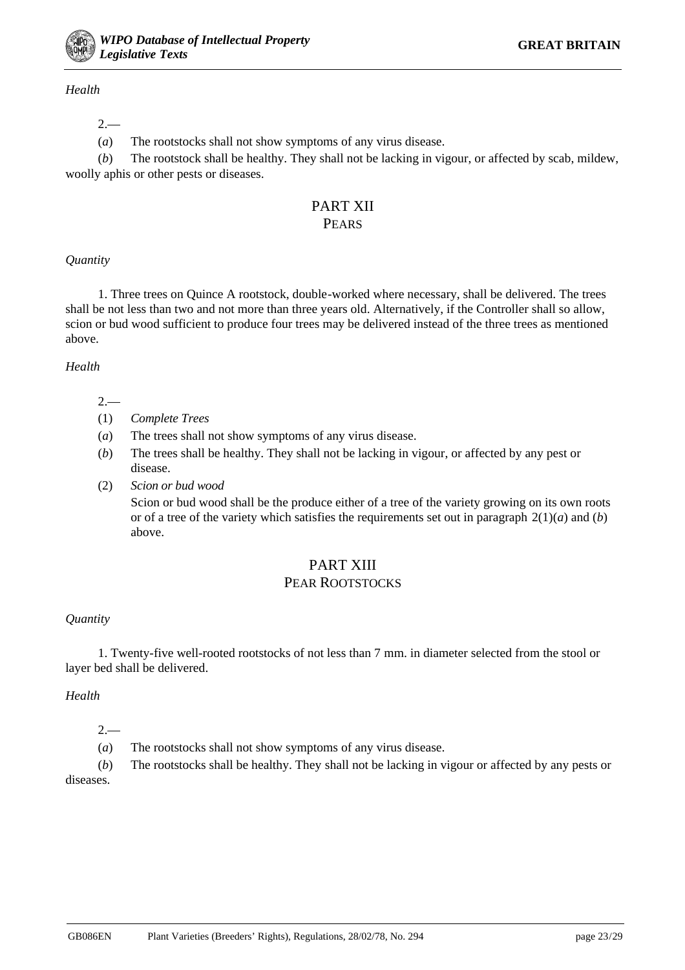

## *Health*

## $2 -$

(*a*) The rootstocks shall not show symptoms of any virus disease.

(*b*) The rootstock shall be healthy. They shall not be lacking in vigour, or affected by scab, mildew, woolly aphis or other pests or diseases.

# PART XII **PEARS**

## *Quantity*

1. Three trees on Quince A rootstock, double-worked where necessary, shall be delivered. The trees shall be not less than two and not more than three years old. Alternatively, if the Controller shall so allow, scion or bud wood sufficient to produce four trees may be delivered instead of the three trees as mentioned above.

## *Health*

- $2-$
- (1) *Complete Trees*
- (*a*) The trees shall not show symptoms of any virus disease.
- (*b*) The trees shall be healthy. They shall not be lacking in vigour, or affected by any pest or disease.
- (2) *Scion or bud wood*

Scion or bud wood shall be the produce either of a tree of the variety growing on its own roots or of a tree of the variety which satisfies the requirements set out in paragraph  $2(1)(a)$  and  $(b)$ above.

## PART XIII PEAR ROOTSTOCKS

## *Quantity*

1. Twenty-five well-rooted rootstocks of not less than 7 mm. in diameter selected from the stool or layer bed shall be delivered.

#### *Health*

 $2 -$ 

(*a*) The rootstocks shall not show symptoms of any virus disease.

(*b*) The rootstocks shall be healthy. They shall not be lacking in vigour or affected by any pests or diseases.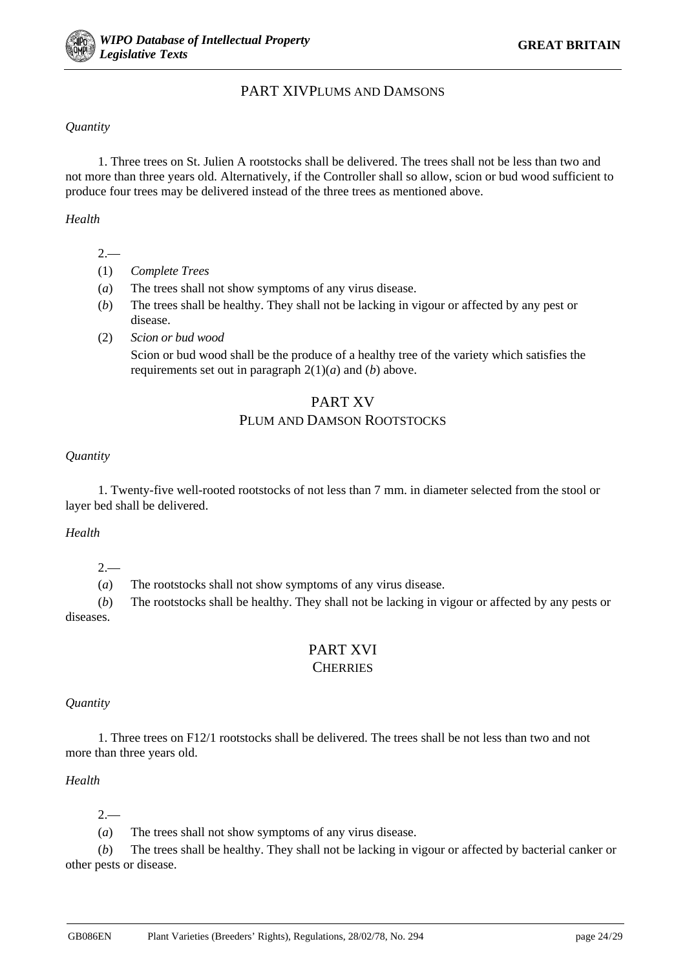## PART XIVPLUMS AND DAMSONS

## *Quantity*

1. Three trees on St. Julien A rootstocks shall be delivered. The trees shall not be less than two and not more than three years old. Alternatively, if the Controller shall so allow, scion or bud wood sufficient to produce four trees may be delivered instead of the three trees as mentioned above.

*Health*

- $2-$
- (1) *Complete Trees*
- (*a*) The trees shall not show symptoms of any virus disease.
- (*b*) The trees shall be healthy. They shall not be lacking in vigour or affected by any pest or disease.
- (2) *Scion or bud wood* Scion or bud wood shall be the produce of a healthy tree of the variety which satisfies the requirements set out in paragraph 2(1)(*a*) and (*b*) above.

# PART XV PLUM AND DAMSON ROOTSTOCKS

## *Quantity*

1. Twenty-five well-rooted rootstocks of not less than 7 mm. in diameter selected from the stool or layer bed shall be delivered.

#### *Health*

 $2 -$ 

(*a*) The rootstocks shall not show symptoms of any virus disease.

(*b*) The rootstocks shall be healthy. They shall not be lacking in vigour or affected by any pests or diseases.

# PART XVI **CHERRIES**

#### *Quantity*

1. Three trees on F12/1 rootstocks shall be delivered. The trees shall be not less than two and not more than three years old.

## *Health*

 $2 -$ 

(*a*) The trees shall not show symptoms of any virus disease.

(*b*) The trees shall be healthy. They shall not be lacking in vigour or affected by bacterial canker or other pests or disease.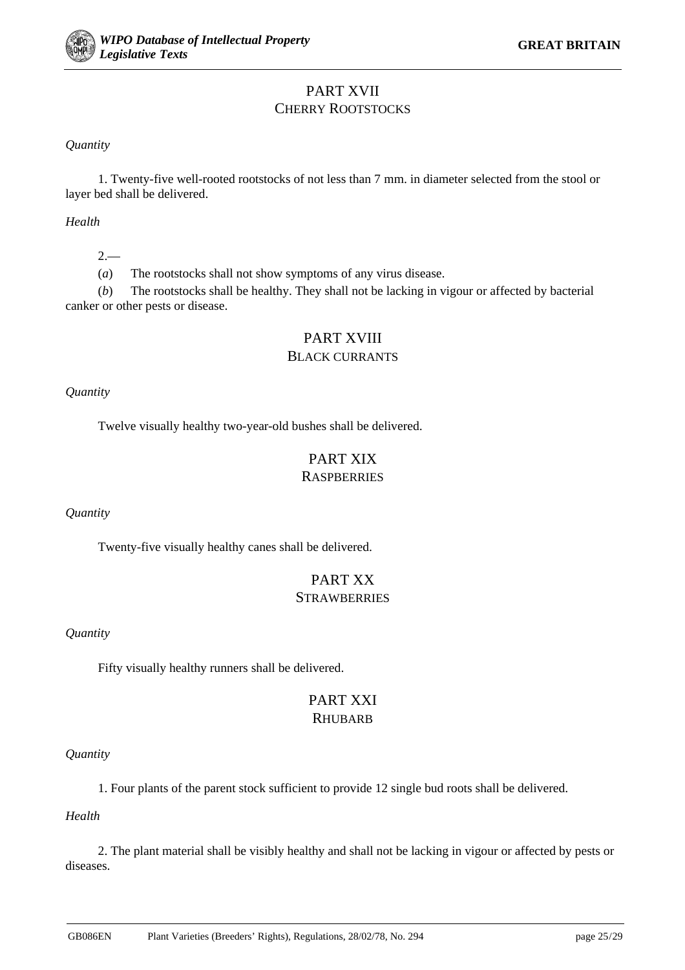# PART XVII CHERRY ROOTSTOCKS

*Quantity*

1. Twenty-five well-rooted rootstocks of not less than 7 mm. in diameter selected from the stool or layer bed shall be delivered.

*Health*

 $2 -$ 

(*a*) The rootstocks shall not show symptoms of any virus disease.

(*b*) The rootstocks shall be healthy. They shall not be lacking in vigour or affected by bacterial canker or other pests or disease.

# PART XVIII

## BLACK CURRANTS

*Quantity*

Twelve visually healthy two-year-old bushes shall be delivered.

# PART XIX **RASPBERRIES**

*Quantity*

Twenty-five visually healthy canes shall be delivered.

# PART XX **STRAWBERRIES**

## *Quantity*

Fifty visually healthy runners shall be delivered.

## PART XXI **RHUBARB**

## *Quantity*

1. Four plants of the parent stock sufficient to provide 12 single bud roots shall be delivered.

*Health*

2. The plant material shall be visibly healthy and shall not be lacking in vigour or affected by pests or diseases.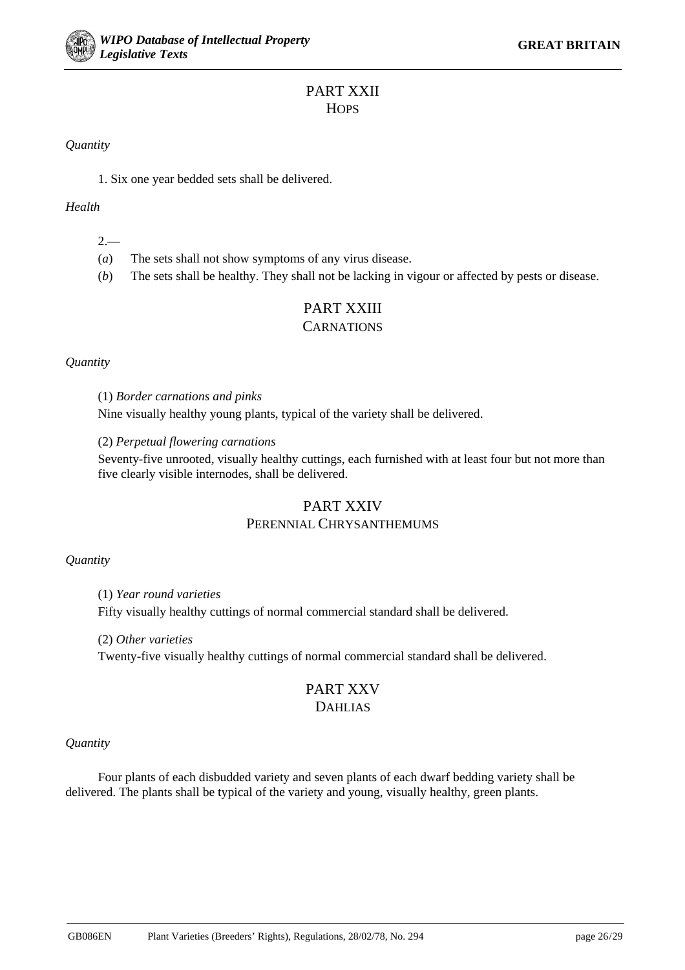# PART XXII **HOPS**

*Quantity*

1. Six one year bedded sets shall be delivered.

*Health*

 $2 -$ 

(*a*) The sets shall not show symptoms of any virus disease.

(*b*) The sets shall be healthy. They shall not be lacking in vigour or affected by pests or disease.

# PART XXIII

## **CARNATIONS**

#### *Quantity*

(1) *Border carnations and pinks*

Nine visually healthy young plants, typical of the variety shall be delivered.

(2) *Perpetual flowering carnations*

Seventy-five unrooted, visually healthy cuttings, each furnished with at least four but not more than five clearly visible internodes, shall be delivered.

## PART XXIV PERENNIAL CHRYSANTHEMUMS

## *Quantity*

(1) *Year round varieties*

Fifty visually healthy cuttings of normal commercial standard shall be delivered.

(2) *Other varieties*

Twenty-five visually healthy cuttings of normal commercial standard shall be delivered.

## PART XXV DAHLIAS

#### *Quantity*

Four plants of each disbudded variety and seven plants of each dwarf bedding variety shall be delivered. The plants shall be typical of the variety and young, visually healthy, green plants.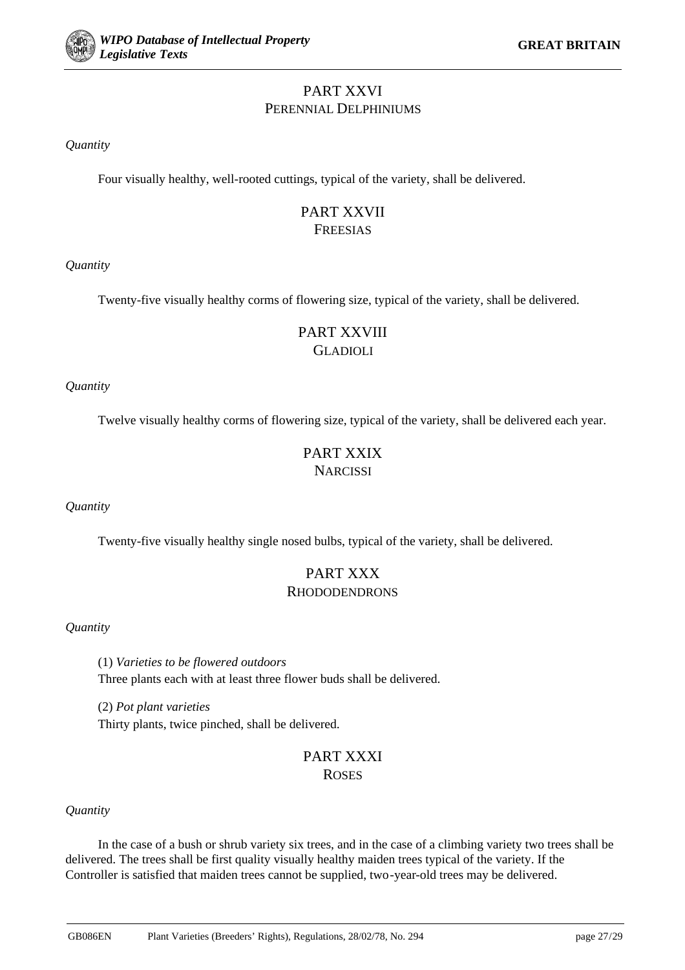# PART XXVI PERENNIAL DELPHINIUMS

*Quantity*

Four visually healthy, well-rooted cuttings, typical of the variety, shall be delivered.

# PART XXVII **FREESIAS**

*Quantity*

Twenty-five visually healthy corms of flowering size, typical of the variety, shall be delivered.

# PART XXVIII GLADIOLI

*Quantity*

Twelve visually healthy corms of flowering size, typical of the variety, shall be delivered each year.

# PART XXIX **NARCISSI**

*Quantity*

Twenty-five visually healthy single nosed bulbs, typical of the variety, shall be delivered.

# PART XXX RHODODENDRONS

*Quantity*

(1) *Varieties to be flowered outdoors* Three plants each with at least three flower buds shall be delivered.

(2) *Pot plant varieties* Thirty plants, twice pinched, shall be delivered.

# PART XXXI **ROSES**

## *Quantity*

In the case of a bush or shrub variety six trees, and in the case of a climbing variety two trees shall be delivered. The trees shall be first quality visually healthy maiden trees typical of the variety. If the Controller is satisfied that maiden trees cannot be supplied, two-year-old trees may be delivered.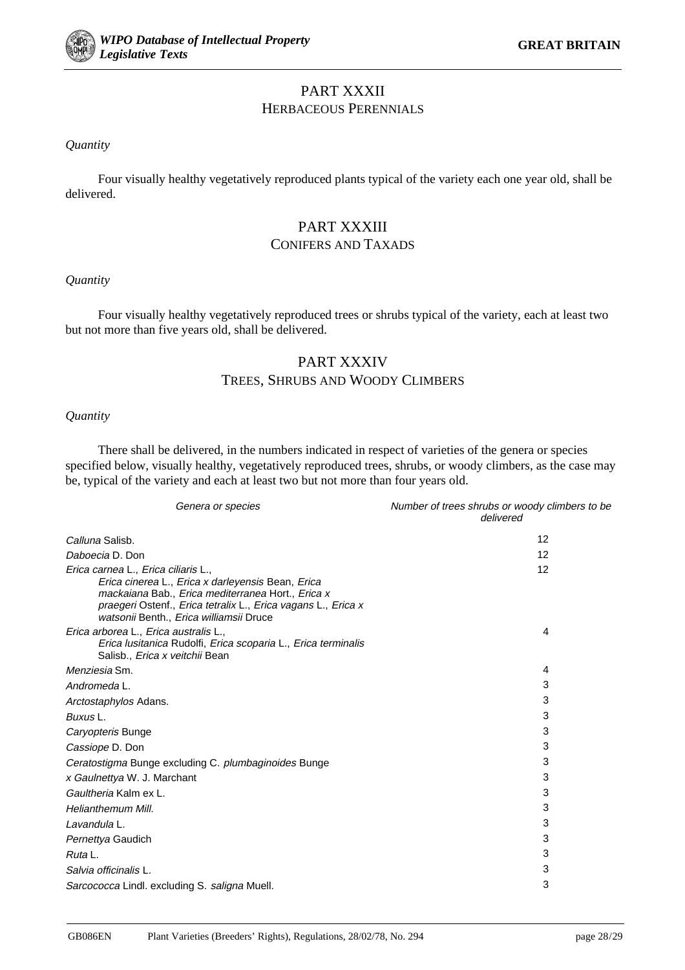

## PART XXXII HERBACEOUS PERENNIALS

#### *Quantity*

Four visually healthy vegetatively reproduced plants typical of the variety each one year old, shall be delivered.

# PART XXXIII CONIFERS AND TAXADS

#### *Quantity*

Four visually healthy vegetatively reproduced trees or shrubs typical of the variety, each at least two but not more than five years old, shall be delivered.

# PART XXXIV TREES, SHRUBS AND WOODY CLIMBERS

#### *Quantity*

There shall be delivered, in the numbers indicated in respect of varieties of the genera or species specified below, visually healthy, vegetatively reproduced trees, shrubs, or woody climbers, as the case may be, typical of the variety and each at least two but not more than four years old.

| Genera or species                                                                                                                                                                                                                                         | Number of trees shrubs or woody climbers to be<br>delivered |
|-----------------------------------------------------------------------------------------------------------------------------------------------------------------------------------------------------------------------------------------------------------|-------------------------------------------------------------|
| Calluna Salisb.                                                                                                                                                                                                                                           | 12                                                          |
| Daboecia D. Don                                                                                                                                                                                                                                           | 12                                                          |
| Erica carnea L., Erica ciliaris L.,<br>Erica cinerea L., Erica x darleyensis Bean, Erica<br>mackaiana Bab., Erica mediterranea Hort., Erica x<br>praegeri Ostenf., Erica tetralix L., Erica vagans L., Erica x<br>watsonii Benth., Erica williamsii Druce | 12                                                          |
| Erica arborea L., Erica australis L.,<br>Erica Iusitanica Rudolfi, Erica scoparia L., Erica terminalis<br>Salisb., <i>Erica x veitchii</i> Bean                                                                                                           | 4                                                           |
| Menziesia Sm.                                                                                                                                                                                                                                             | 4                                                           |
| Andromeda L.                                                                                                                                                                                                                                              | 3                                                           |
| Arctostaphylos Adans.                                                                                                                                                                                                                                     | 3                                                           |
| Buxus L.                                                                                                                                                                                                                                                  | 3                                                           |
| Caryopteris Bunge                                                                                                                                                                                                                                         | 3                                                           |
| Cassiope D. Don                                                                                                                                                                                                                                           | 3                                                           |
| Ceratostigma Bunge excluding C. plumbaginoides Bunge                                                                                                                                                                                                      | 3                                                           |
| x Gaulnettya W. J. Marchant                                                                                                                                                                                                                               | 3                                                           |
| Gaultheria Kalm ex L.                                                                                                                                                                                                                                     | 3                                                           |
| Helianthemum Mill.                                                                                                                                                                                                                                        | 3                                                           |
| Lavandula L.                                                                                                                                                                                                                                              | 3                                                           |
| Pernettya Gaudich                                                                                                                                                                                                                                         | 3                                                           |
| Ruta L.                                                                                                                                                                                                                                                   | 3                                                           |
| Salvia officinalis L.                                                                                                                                                                                                                                     | 3                                                           |
| Sarcococca Lindl. excluding S. saligna Muell.                                                                                                                                                                                                             | 3                                                           |